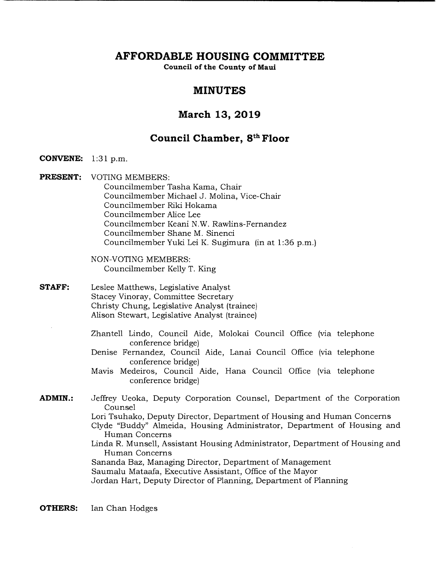# **AFFORDABLE HOUSING COMMITTEE**

**Council of the County of Maul** 

# **MINUTES**

# **March 13, 2019**

# **Council Chamber, 8th Floor**

**CONVENE:** 1:31 p.m.

**PRESENT:** VOTING MEMBERS: Councilmember Tasha Kama, Chair Councilmember Michael J. Molina, Vice-Chair Councilmember Riki Hokama Councilmember Alice Lee Councilmember Keani N.W. Rawlins-Fernandez Councilmember Shane M. Sinenci Councilmember Yuki Lei K. Sugimura (in at 1:36 p.m.)

> NON-VOTING MEMBERS: Councilmember Kelly T. King

**STAFF:** Leslee Matthews, Legislative Analyst Stacey Vinoray, Committee Secretary Christy Chung, Legislative Analyst (trainee) Alison Stewart, Legislative Analyst (trainee)

> Zhantell Lindo, Council Aide, Molokai Council Office (via telephone conference bridge)

- Denise Fernandez, Council Aide, Lanai Council Office (via telephone conference bridge)
- Mavis Medeiros, Council Aide, Hana Council Office (via telephone conference bridge)

**ADMIN.:** Jeffrey Ueoka, Deputy Corporation Counsel, Department of the Corporation Counsel Lori Tsuhako, Deputy Director, Department of Housing and Human Concerns Clyde "Buddy" Almeida, Housing Administrator, Department of Housing and Human Concerns Linda R. Munsell, Assistant Housing Administrator, Department of Housing and Human Concerns Sananda Baz, Managing Director, Department of Management Saumalu Mataafa, Executive Assistant, Office of the Mayor Jordan Hart, Deputy Director of Planning, Department of Planning

**OTHERS:** Ian Chan Hodges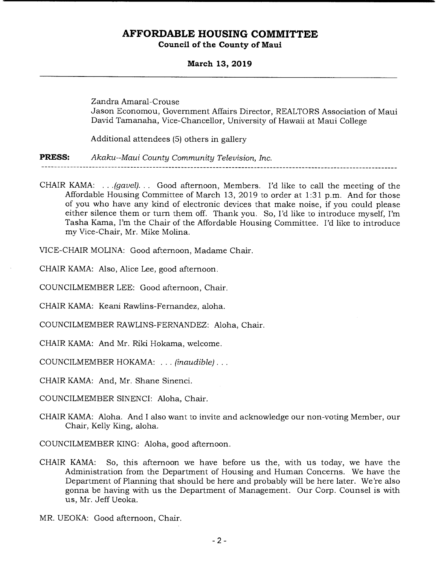# **AFFORDABLE HOUSING COMMITTEE**

**Council of the County of Maui** 

**March 13, 2019** 

Zandra Amaral-Crouse Jason Economou, Government Affairs Director, REALTORS Association of Maui David Tamanaha, Vice-Chancellor, University of Hawaii at Maui College

Additional attendees (5) others in gallery

**PRESS:** *Akaku--Maui County Community Television, Inc.* 

CHAIR KAMA: . . . *(gavel). . .* Good afternoon, Members. I'd like to call the meeting of the Affordable Housing Committee of March 13, 2019 to order at 1:31 p.m. And for those of you who have any kind of electronic devices that make noise, if you could please either silence them or turn them off. Thank you. So, I'd like to introduce myself, I'm Tasha Kama, I'm the Chair of the Affordable Housing Committee. I'd like to introduce my Vice-Chair, Mr. Mike Molina.

VICE-CHAIR MOLINA: Good afternoon, Madame Chair.

CHAIR KAMA: Also, Alice Lee, good afternoon.

COUNCILMEMBER LEE: Good afternoon, Chair.

CHAIR KAMA: Keani Rawlins-Fernandez, aloha.

COUNCILMEMBER RAWLINS-FERNANDEZ: Aloha, Chair.

CHAIR KAMA: And Mr. Riki Hokama, welcome.

COUNCILMEMBER HOKAMA: . . . *(inaudible)...* 

CHAIR KAMA: And, Mr. Shane Sinenci.

COUNCILMEMBER SINENCI: Aloha, Chair.

CHAIR KAMA: Aloha. And I also want to invite and acknowledge our non-voting Member, our Chair, Kelly King, aloha.

COUNCILMEMBER KING: Aloha, good afternoon.

CHAIR KAMA: So, this afternoon we have before us the, with us today, we have the Administration from the Department of Housing and Human Concerns. We have the Department of Planning that should be here and probably will be here later. We're also gonna be having with us the Department of Management. Our Corp. Counsel is with us, Mr. Jeff Ueoka.

MR. UEOKA: Good afternoon, Chair.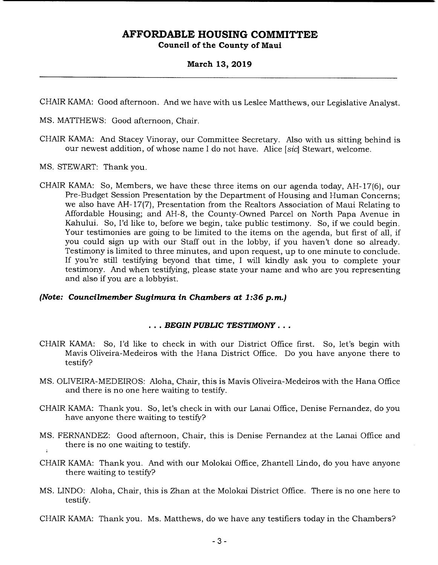### **March 13, 2019**

CHAIR KAMA: Good afternoon. And we have with us Leslee Matthews, our Legislative Analyst.

MS. MATTHEWS: Good afternoon, Chair.

- CHAIR KAMA: And Stacey Vinoray, our Committee Secretary. Also with us sitting behind is our newest addition, of whose name I do not have. Alice *[sic]* Stewart, welcome.
- MS. STEWART: Thank you.
- CHAIR KAMA: So, Members, we have these three items on our agenda today, AH-17(6), our Pre-Budget Session Presentation by the Department of Housing and Human Concerns; we also have AH- 17(7), Presentation from the Realtors Association of Maui Relating to Affordable Housing; and AH-8, the County-Owned Parcel on North Papa Avenue in Kahului. So, I'd like to, before we begin, take public testimony. So, if we could begin. Your testimonies are going to be limited to the items on the agenda, but first of all, if you could sign up with our Staff out in the lobby, if you haven't done so already. Testimony is limited to three minutes, and upon request, up to one minute to conclude. If you're still testifying beyond that time, I will kindly ask you to complete your testimony. And when testifying, please state your name and who are you representing and also if you are a lobbyist.

### *(Note: Councilmember Sugimura in Chambers at 1:36 p.m.)*

### *BEGIN PUBLIC TESTIMONY...*

- CHAIR KAMA: So, I'd like to check in with our District Office first. So, let's begin with Mavis Oliveira-Medeiros with the Hana District Office. Do you have anyone there to testify?
- MS. OLIVEIRA-MEDEIROS: Aloha, Chair, this is Mavis Oliveira-Medeiros with the Hana Office and there is no one here waiting to testify.
- CHAIR KAMA: Thank you. So, let's check in with our Lanai Office, Denise Fernandez, do you have anyone there waiting to testify?
- MS. FERNANDEZ: Good afternoon, Chair, this is Denise Fernandez at the Lanai Office and there is no one waiting to testify.
- CHAIR KAMA: Thank you. And with our Molokai Office, Zhantell Lindo, do you have anyone there waiting to testify?
- MS. LINDO: Aloha, Chair, this is Zhan at the Molokai District Office. There is no one here to testify.
- CHAIR KAMA: Thank you. Ms. Matthews, do we have any testifiers today in the Chambers?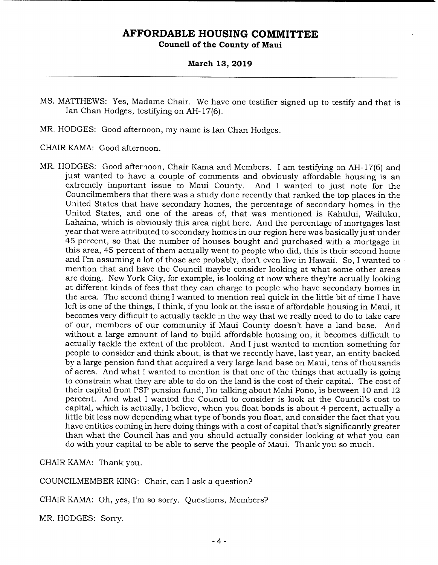### **March 13, 2019**

- MS. MATTHEWS: Yes, Madame Chair. We have one testifier signed up to testify and that is Ian Chan Hodges, testifying on AH-17(6).
- MR. HODGES: Good afternoon, my name is Ian Chan Hodges.
- CHAIR KAMA: Good afternoon.
- MR. HODGES: Good afternoon, Chair Kama and Members. I am testifying on AH- 17(6) and just wanted to have a couple of comments and obviously affordable housing is an extremely important issue to Maui County. And I wanted to just note for the Councilmembers that there was a study done recently that ranked the top places in the United States that have secondary homes, the percentage of secondary homes in the United States, and one of the areas of, that was mentioned is Kahului, Wailuku, Lahaina, which is obviously this area right here. And the percentage of mortgages last year that were attributed to secondary homes in our region here was basically just under 45 percent, so that the number of houses bought and purchased with a mortgage in this area, 45 percent of them actually went to people who did, this is their second home and I'm assuming a lot of those are probably, don't even live in Hawaii. So, I wanted to mention that and have the Council maybe consider looking at what some other areas are doing. New York City, for example, is looking at now where they're actually looking at different kinds of fees that they can charge to people who have secondary homes in the area. The second thing I wanted to mention real quick in the little bit of time I have left is one of the things, I think, if you look at the issue of affordable housing in Maui, it becomes very difficult to actually tackle in the way that we really need to do to take care of our, members of our community if Maui County doesn't have a land base. And without a large amount of land to build affordable housing on, it becomes difficult to actually tackle the extent of the problem. And I just wanted to mention something for people to consider and think about, is that we recently have, last year, an entity backed by a large pension fund that acquired a very large land base on Maui, tens of thousands of acres. And what I wanted to mention is that one of the things that actually is going to constrain what they are able to do on the land is the cost of their capital. The cost of their capital from PSP pension fund, I'm talking about Mahi Pono, is between 10 and 12 percent. And what I wanted the Council to consider is look at the Council's cost to capital, which is actually, I believe, when you float bonds is about 4 percent, actually a little bit less now depending what type of bonds you float, and consider the fact that you have entities coming in here doing things with a cost of capital that's significantly greater than what the Council has and you should actually consider looking at what you can do with your capital to be able to serve the people of Maui. Thank you so much.

CHAIR KAMA: Thank you.

COUNCILMEMBER KING: Chair, can I ask a question?

CHAIR KAMA: Oh, yes, I'm so sorry. Questions, Members?

MR. HODGES: Sorry.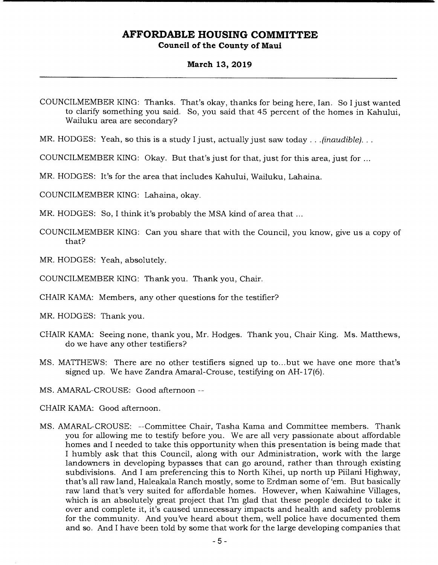#### **March 13, 2019**

MR. HODGES: Yeah, so this is a study I just, actually just saw today.. *.(inaudible)...* 

COUNCILMEMBER KING: Okay. But that's just for that, just for this area, just for

MR. HODGES: It's for the area that includes Kahului, Wailuku, Lahaina.

COUNCILMEMBER KING: Lahaina, okay.

MR. HODGES: So, I think it's probably the MSA kind of area that ...

- COUNCILMEMBER KING: Can you share that with the Council, you know, give us a copy of that?
- MR. HODGES: Yeah, absolutely.

COUNCILMEMBER KING: Thank you. Thank you, Chair.

CHAIR KAMA: Members, any other questions for the testifier?

MR. HODGES: Thank you.

- CHAIR KAMA: Seeing none, thank you, Mr. Hodges. Thank you, Chair King. Ms. Matthews, do we have any other testifiers?
- MS. MATI'HEWS: There are no other testifiers signed up to.. .but we have one more that's signed up. We have Zandra Amaral-Crouse, testifying on AH-17(6).

MS. AMARAL-CROUSE: Good afternoon --

- CHAIR KAMA: Good afternoon.
- MS. AMARAL-CROUSE: --Committee Chair, Tasha Kama and Committee members. Thank you for allowing me to testify before you. We are all very passionate about affordable homes and I needed to take this opportunity when this presentation is being made that I humbly ask that this Council, along with our Administration, work with the large landowners in developing bypasses that can go around, rather than through existing subdivisions. And I am preferencing this to North Kihei, up north up Piilani Highway, that's all raw land, Haleakala Ranch mostly, some to Erdman some of 'em. But basically raw land that's very suited for affordable homes. However, when Kaiwahine Villages, which is an absolutely great project that I'm glad that these people decided to take it over and complete it, it's caused unnecessary impacts and health and safety problems for the community. And you've heard about them, well police have documented them and so. And I have been told by some that work for the large developing companies that

COUNCILMEMBER KING: Thanks. That's okay, thanks for being here, Ian. So I just wanted to clarify something you said. So, you said that 45 percent of the homes in Kahului, Wailuku area are secondary?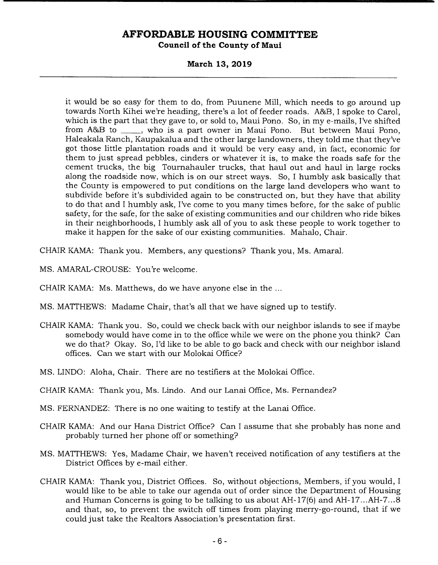**March 13, 2019** 

it would be so easy for them to do, from Puunene Mill, which needs to go around up towards North Kihei we're heading, there's a lot of feeder roads. A&B, I spoke to Carol, which is the part that they gave to, or sold to, Maui Pono. So, in my e-mails, I've shifted from A&B to \_\_\_\_, who is a part owner in Maui Pono. But between Maui Pono, Haleakala Ranch, Kaupakalua and the other large landowners, they told me that they've got those little plantation roads and it would be very easy and, in fact, economic for them to just spread pebbles, cinders or whatever it is, to make the roads safe for the cement trucks, the big Tournahauler trucks, that haul out and haul in large rocks along the roadside now, which is on our street ways. So, I humbly ask basically that the County is empowered to put conditions on the large land developers who want to subdivide before it's subdivided again to be constructed on, but they have that ability to do that and I humbly ask, I've come to you many times before, for the sake of public safety, for the safe, for the sake of existing communities and our children who ride bikes in their neighborhoods, I humbly ask all of you to ask these people to work together to make it happen for the sake of our existing communities. Mahalo, Chair.

CHAIR KAMA: Thank you. Members, any questions? Thank you, Ms. Amaral.

- MS. AMARAL-CROUSE: You're welcome.
- CHAIR KAMA: Ms. Matthews, do we have anyone else in the
- MS. MATTHEWS: Madame Chair, that's all that we have signed up to testify.
- CHAIR KAMA: Thank you. So, could we check back with our neighbor islands to see if maybe somebody would have come in to the office while we were on the phone you think? Can we do that? Okay. So, I'd like to be able to go back and check with our neighbor island offices. Can we start with our Molokai Office?
- MS. LINDO: Aloha, Chair. There are no testifiers at the Molokai Office.
- CHAIR KAMA: Thank you, Ms. Lindo. And our Lanai Office, Ms. Fernandez?
- MS. FERNANDEZ: There is no one waiting to testify at the Lanai Office.
- CHAIR KAMA: And our Hana District Office? Can I assume that she probably has none and probably turned her phone off or something?
- MS. MATTHEWS: Yes, Madame Chair, we haven't received notification of any testifiers at the District Offices by e-mail either.
- CHAIR KAMA: Thank you, District Offices. So, without objections, Members, if you would, I would like to be able to take our agenda out of order since the Department of Housing and Human Concerns is going to be talking to us about AH-17(6) and AH-17 ... AH-7 ... 8 and that, so, to prevent the switch off times from playing merry-go-round, that if we could just take the Realtors Association's presentation first.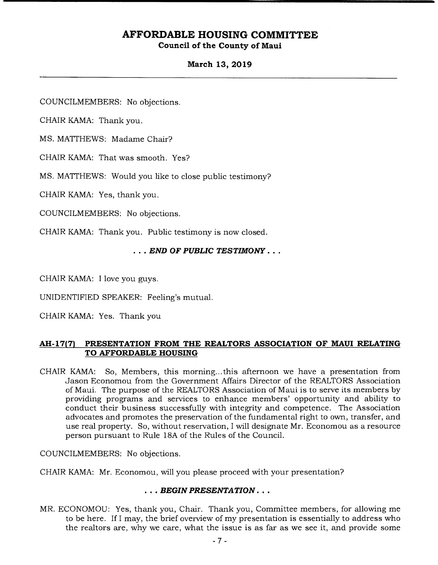### **March 13, 2019**

COUNCILMEMBERS: No objections.

CHAIR KAMA: Thank you.

MS. MATrHEWS: Madame Chair?

CHAIR KAMA: That was smooth. Yes?

MS. MATTHEWS: Would you like to close public testimony?

CHAIR KAMA: Yes, thank you.

COUNCILMEMBERS: No objections.

CHAIR KAMA: Thank you. Public testimony is now closed.

### *• END OF PUBLIC TESTIMONY...*

CHAIR KAMA: I love you guys.

UNIDENTIFIED SPEAKER: Feeling's mutual.

CHAIR KAMA: Yes. Thank you

### **AH-17(7) PRESENTATION FROM THE REALTORS ASSOCIATION OF MAUI RELATING TO AFFORDABLE HOUSING**

CHAIR KAMA: So, Members, this morning.., this afternoon we have a presentation from Jason Economou from the Government Affairs Director of the REALTORS Association of Maui. The purpose of the REALTORS Association of Maui is to serve its members by providing programs and services to enhance members' opportunity and ability to conduct their business successfully with integrity and competence. The Association advocates and promotes the preservation of the fundamental right to own, transfer, and use real property. So, without reservation, I will designate Mr. Economou as a resource person pursuant to Rule 18A of the Rules of the Council.

COUNCILMEMBERS: No objections.

CHAIR KAMA: Mr. Economou, will you please proceed with your presentation?

### *• . . BEGIN PRESENTATION...*

MR. ECONOMOU: Yes, thank you, Chair. Thank you, Committee members, for allowing me to be here. If I may, the brief overview of my presentation is essentially to address who the realtors are, why we care, what the issue is as far as we see it, and provide some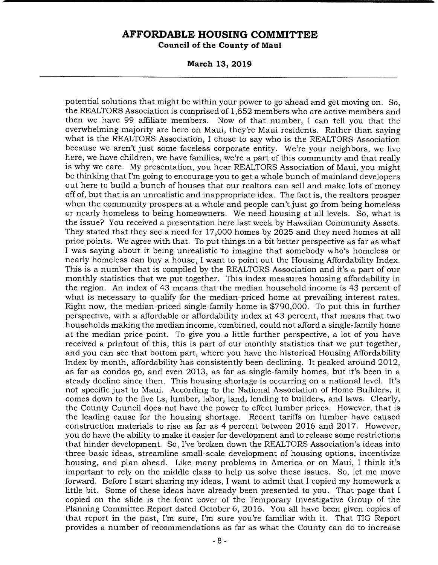**March 13, 2019** 

potential solutions that might be within your power to go ahead and get moving on. So, the REALTORS Association is comprised of 1,652 members who are active members and then we have 99 affiliate members. Now of that number, I can tell you that the overwhelming majority are here on Maui, they're Maui residents. Rather than saying what is the REALTORS Association, I chose to say who is the REALTORS Association because we aren't just some faceless corporate entity. We're your neighbors, we live here, we have children, we have families, we're a part of this community and that really is why we care. My presentation, you hear REALTORS Association of Maui, you might be thinking that I'm going to encourage you to get a whole bunch of mainland developers out here to build a bunch of houses that our realtors can sell and make lots of money off of, but that is an unrealistic and inappropriate idea. The fact is, the realtors prosper when the community prospers at a whole and people can't just go from being homeless or nearly homeless to being homeowners. We need housing at all levels. So, what is the issue? You received a presentation here last week by Hawaiian Community Assets. They stated that they see a need for 17,000 homes by 2025 and they need homes at all price points. We agree with that. To put things in a bit better perspective as far as what I was saying about it being unrealistic to imagine that somebody who's homeless or nearly homeless can buy a house, I want to point out the Housing Affordability Index. This is a number that is compiled by the REALTORS Association and it's a part of our monthly statistics that we put together. This index measures housing affordability in the region. An index of 43 means that the median household income is 43 percent of what is necessary to qualify for the median-priced home at prevailing interest rates. Right now, the median-priced single-family home is \$790,000. To put this in further perspective, with a affordable or affordability index at 43 percent, that means that two households making the median income, combined, could not afford a single-family home at the median price point. To give you a little further perspective, a lot of you have received a printout of this, this is part of our monthly statistics that we put together, and you can see that bottom part, where you have the historical Housing Affordability Index by month, affordability has consistently been declining. It peaked around 2012, as far as condos go, and even 2013, as far as single-family homes, but it's been in a steady decline since then. This housing shortage is occurring on a national level. It's not specific just to Maui. According to the National Association of Home Builders, it comes down to the five Ls, lumber, labor, land, lending to builders, and laws. Clearly, the County Council does not have the power to effect lumber prices. However, that is the leading cause for the housing shortage. Recent tariffs on lumber have caused construction materials to rise as far as 4 percent between 2016 and 2017. However, you do have the ability to make it easier for development and to release some restrictions that hinder development. So, I've broken down the REALTORS Association's ideas into three basic ideas, streamline small-scale development of housing options, incentivize housing, and plan ahead. Like many problems in America or on Maui, I think it's important to rely on the middle class to help us solve these issues. So, let me move forward. Before I start sharing my ideas, I want to admit that I copied my homework a little bit. Some of these ideas have already been presented to you. That page that I copied on the slide is the front cover of the Temporary Investigative Group of the Planning Committee Report dated October 6, 2016. You all have been given copies of that report in the past, I'm sure, I'm sure you're familiar with it. That TIG Report provides a number of recommendations as far as what the County can do to increase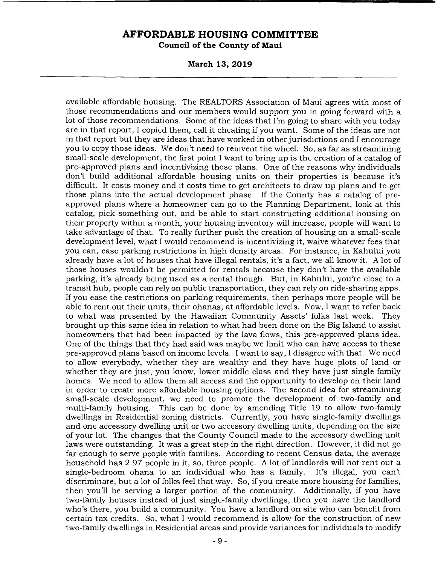**March 13, 2019** 

available affordable housing. The REALTORS Association of Maui agrees with most of those recommendations and our members would support you in going forward with a lot of those recommendations. Some of the ideas that I'm going to share with you today are in that report, I copied them, call it cheating if you want. Some of the ideas are not in that report but they are ideas that have worked in other jurisdictions and I encourage you to copy those ideas. We don't need to reinvent the wheel. So, as far as streamlining small-scale development, the first point I want to bring up is the creation of a catalog of pre-approved plans and incentivizing those plans. One of the reasons why individuals don't build additional affordable housing units on their properties is because it's difficult. It costs money and it costs time to get architects to draw up plans and to get those plans into the actual development phase. If the County has a catalog of preapproved plans where a homeowner can go to the Planning Department, look at this catalog, pick something out, and be able to start constructing additional housing on their property within a month, your housing inventory will increase, people will want to take advantage of that. To really further push the creation of housing on a small-scale development level, what I would recommend is incentivizing it, waive whatever fees that you can, ease parking restrictions in high density areas. For instance, in Kahului you already have a lot of houses that have illegal rentals, it's a fact, we all know it. A lot of those houses wouldn't be permitted for rentals because they don't have the available parking, it's already being used as a rental though. But, in Kahului, you're close to a transit hub, people can rely on public transportation, they can rely on ride-sharing apps. If you ease the restrictions on parking requirements, then perhaps more people will be able to rent out their units, their ohanas, at affordable levels. Now, I want to refer back to what was presented by the Hawaiian Community Assets' folks last week. They brought up this same idea in relation to what had been done on the Big Island to assist homeowners that had been impacted by the lava flows, this pre-approved plans idea. One of the things that they had said was maybe we limit who can have access to these pre-approved plans based on income levels. I want to say, I disagree with that. We need to allow everybody, whether they are wealthy and they have huge plots of land or whether they are just, you know, lower middle class and they have just single-family homes. We need to allow them all access and the opportunity to develop on their land in order to create more affordable housing options. The second idea for streamlining small-scale development, we need to promote the development of two-family and multi-family housing. This can be done by amending Title 19 to allow two-family dwellings in Residential zoning districts. Currently, you have single-family dwellings and one accessory dwelling unit or two accessory dwelling units, depending on the size of your lot. The changes that the County Council made to the accessory dwelling unit laws were outstanding. It was a great step in the right direction. However, it did not go far enough to serve people with families. According to recent Census data, the average household has 2.97 people in it, so, three people. A lot of landlords will not rent out a single-bedroom ohana to an individual who has a family. It's illegal, you can't discriminate, but a lot of folks feel that way. So, if you create more housing for families, then you'll be serving a larger portion of the community. Additionally, if you have two-family houses instead of just single-family dwellings, then you have the landlord who's there, you build a community. You have a landlord on site who can benefit from certain tax credits. So, what I would recommend is allow for the construction of new two-family dwellings in Residential areas and provide variances for individuals to modify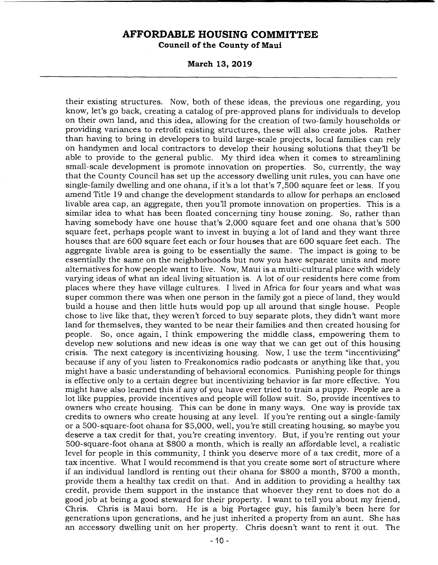**March 13, 2019** 

their existing structures. Now, both of these ideas, the previous one regarding, you know, let's go back, creating a catalog of pre-approved plans for individuals to develop on their own land, and this idea, allowing for the creation of two-family households or providing variances to retrofit existing structures, these will also create jobs. Rather than having to bring in developers to build large-scale projects, local families can rely on handymen and local contractors to develop their housing solutions that they'll be able to provide to the general public. My third idea when it comes to streamlining small-scale development is promote innovation on properties. So, currently, the way that the County Council has set up the accessory dwelling unit rules, you can have one single-family dwelling and one ohana, if it's a lot that's 7,500 square feet or less. If you amend Title 19 and change the development standards to allow for perhaps an enclosed livable area cap, an aggregate, then you'll promote innovation on properties. This is a similar idea to what has been floated concerning tiny house zoning. So, rather than having somebody have one house that's 2,000 square feet and one ohana that's 500 square feet, perhaps people want to invest in buying a lot of land and they want three houses that are 600 square feet each or four houses that are 600 square feet each. The aggregate livable area is going to be essentially the same. The impact is going to be essentially the same on the neighborhoods but now you have separate units and more alternatives for how people want to live. Now, Maui is a multi-cultural place with widely varying ideas of what an ideal living situation is. A lot of our residents here come from places where they have village cultures. I lived in Africa for four years and what was super common there was when one person in the family got a piece of land, they would build a house and then little huts would pop up all around that single house. People chose to live like that, they weren't forced to buy separate plots, they didn't want more land for themselves, they wanted to be near their families and then created housing for people. So, once again, I think empowering the middle class, empowering them to develop new solutions and new ideas is one way that we can get out of this housing crisis. The next category is incentivizing housing. Now, I use the term "incentivizing" because if any of you listen to Freakonomics radio podcasts or anything like that, you might have a basic understanding of behavioral economics. Punishing people for things is effective only to a certain degree but incentivizing behavior is far more effective. You might have also learned this if any of you have ever tried to train a puppy. People are a lot like puppies, provide incentives and people will follow suit. So, provide incentives to owners who create housing. This can be done in many ways. One way is provide tax credits to owners who create housing at any level. If you're renting out a single-family or a 500-square-foot ohana for \$5,000, well, you're still creating housing, so maybe you deserve a tax credit for that, you're creating inventory. But, if you're renting out your 500-square-foot ohana at \$800 a month, which is really an affordable level, a realistic level for people in this community, I think you deserve more of a tax credit, more of a tax incentive. What I would recommend is that you create some sort of structure where if an individual landlord is renting out their ohana for \$800 a month, \$700 a month, provide them a healthy tax credit on that. And in addition to providing a healthy tax credit, provide them support in the instance that whoever they rent to does not do a good job at being a good steward for their property. I want to tell you about my friend, Chris. Chris is Maui born. He is a big Portagee guy, his family's been here for generations upon generations, and he just inherited a property from an aunt. She has an accessory dwelling unit on her property. Chris doesn't want to rent it out. The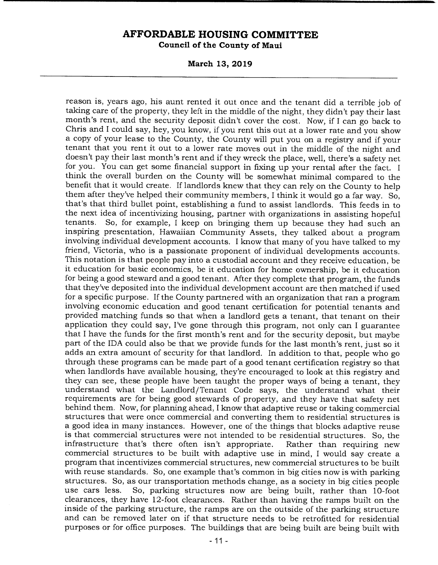**March 13, 2019** 

reason is, years ago, his aunt rented it out once and the tenant did a terrible job of taking care of the property, they left in the middle of the night, they didn't pay their last month's rent, and the security deposit didn't cover the cost. Now, if I can go back to Chris and I could say, hey, you know, if you rent this out at a lower rate and you show a copy of your lease to the County, the County will put you on a registry and if your tenant that you rent it out to a lower rate moves out in the middle of the night and doesn't pay their last month's rent and if they wreck the place, well, there's a safety net for you. You can get some financial support in fixing up your rental after the fact. I think the overall burden on the County will be somewhat minimal compared to the benefit that it would create. If landlords knew that they can rely on the County to help them after they've helped their community members, I think it would go a far way. So, that's that third bullet point, establishing a fund to assist landlords. This feeds in to the next idea of incentivizing housing, partner with organizations in assisting hopeful tenants. So, for example, I keep on bringing them up because they had such an inspiring presentation, Hawaiian Community Assets, they talked about a program involving individual development accounts. I know that many of you have talked to my friend, Victoria, who is a passionate proponent of individual developments accounts. This notation is that people pay into a custodial account and they receive education, be it education for basic economics, be it education for home ownership, be it education for being a good steward and a good tenant. After they complete that program, the funds that they've deposited into the individual development account are then matched if used for a specific purpose. If the County partnered with an organization that ran a program involving economic education and good tenant certification for potential tenants and provided matching funds so that when a landlord gets a tenant, that tenant on their application they could say, I've gone through this program, not only can I guarantee that I have the funds for the first month's rent and for the security deposit, but maybe part of the IDA could also be that we provide funds for the last month's rent, just so it adds an extra amount of security for that landlord. In addition to that, people who go through these programs can be made part of a good tenant certification registry so that when landlords have available housing, they're encouraged to look at this registry and they can see, these people have been taught the proper ways of being a tenant, they understand what the Landlord/Tenant Code says, the understand what their requirements are for being good stewards of property, and they have that safety net behind them. Now, for planning ahead, I know that adaptive reuse or taking commercial structures that were once commercial and converting them to residential structures is a good idea in many instances. However, one of the things that blocks adaptive reuse is that commercial structures were not intended to be residential structures. So, the infrastructure that's there often isn't appropriate. Rather than requiring new commercial structures to be built with adaptive use in mind, I would say create a program that incentivizes commercial structures, new commercial structures to be built with reuse standards. So, one example that's common in big cities now is with parking structures. So, as our transportation methods change, as a society in big cities people use cars less. So, parking structures now are being built, rather than 10-foot clearances, they have 12-foot clearances. Rather than having the ramps built on the inside of the parking structure, the ramps are on the outside of the parking structure and can be removed later on if that structure needs to be retrofitted for residential purposes or for office purposes. The buildings that are being built are being built with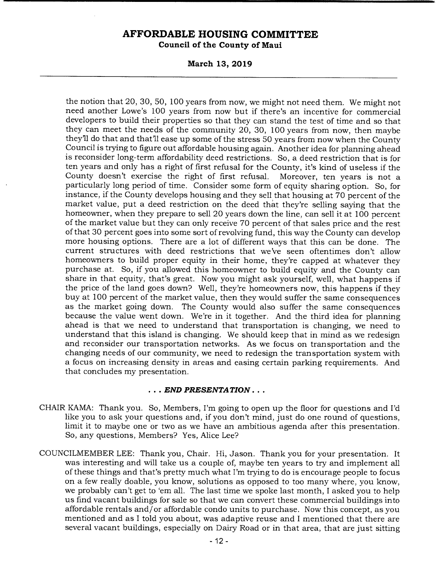**March 13, 2019** 

the notion that 20, 30, 50, 100 years from now, we might not need them. We might not need another Lowe's 100 years from now but if there's an incentive for commercial developers to build their properties so that they can stand the test of time and so that they can meet the needs of the community 20, 30, 100 years from now, then maybe they'll do that and that'll ease up some of the stress 50 years from now when the County Council is trying to figure out affordable housing again. Another idea for planning ahead is reconsider long-term affordability deed restrictions. So, a deed restriction that is for ten years and only has a right of first refusal for the County, it's kind of useless if the County doesn't exercise the right of first refusal. Moreover, ten years is not a particularly long period of time. Consider some form of equity sharing option. So, for instance, if the County develops housing and they sell that housing at 70 percent of the market value, put a deed restriction on the deed that they're selling saying that the homeowner, when they prepare to sell 20 years down the line, can sell it at 100 percent of the market value but they can only receive 70 percent of that sales price and the rest of that 30 percent goes into some sort of revolving fund, this way the County can develop more housing options. There are a lot of different ways that this can be done. The current structures with deed restrictions that we've seen oftentimes don't allow homeowners to build proper equity in their home, they're capped at whatever they purchase at. So, if you allowed this homeowner to build equity and the County can share in that equity, that's great. Now you might ask yourself, well, what happens if the price of the land goes down? Well, they're homeowners now, this happens if they buy at 100 percent of the market value, then they would suffer the same consequences as the market going down. The County would also suffer the same consequences because the value went down. We're in it together. And the third idea for planning ahead is that we need to understand that transportation is changing, we need to understand that this island is changing. We should keep that in mind as we redesign and reconsider our transportation networks. As we focus on transportation and the changing needs of our community, we need to redesign the transportation system with a focus on increasing density in areas and easing certain parking requirements. And that concludes my presentation.

#### *• END PRESENTATION...*

- CHAIR KAMA: Thank you. So, Members, I'm going to open up the floor for questions and I'd like you to ask your questions and, if you don't mind, just do one round of questions, limit it to maybe one or two as we have an ambitious agenda after this presentation. So, any questions, Members? Yes, Alice Lee?
- COUNCILMEMBER LEE: Thank you, Chair. Hi, Jason. Thank you for your presentation. It was interesting and will take us a couple of, maybe ten years to try and implement all of these things and that's pretty much what I'm trying to do is encourage people to focus on a few really doable, you know, solutions as opposed to too many where, you know, we probably can't get to 'em all. The last time we spoke last month, I asked you to help us find vacant buildings for sale so that we can convert these commercial buildings into affordable rentals and/or affordable condo units to purchase. Now this concept, as you mentioned and as I told you about, was adaptive reuse and I mentioned that there are several vacant buildings, especially on Dairy Road or in that area, that are just sitting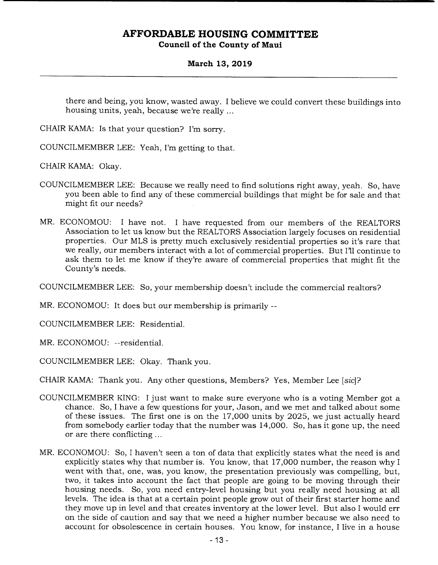### **March 13, 2019**

there and being, you know, wasted away. I believe we could convert these buildings into housing units, yeah, because we're really

CHAIR KAMA: Is that your question? I'm sorry.

COUNCILMEMBER LEE: Yeah, I'm getting to that.

CHAIR KAMA: Okay.

- COUNCILMEMBER LEE: Because we really need to find solutions right away, yeah. So, have you been able to find any of these commercial buildings that might be for sale and that might fit our needs?
- MR. ECONOMOU: I have not. I have requested from our members of the REALTORS Association to let us know but the REALTORS Association largely focuses on residential properties. Our MLS is pretty much exclusively residential properties so it's rare that we really, our members interact with a lot of commercial properties. But I'll continue to ask them to let me know if they're aware of commercial properties that might fit the County's needs.

COUNCILMEMBER LEE: So, your membership doesn't include the commercial realtors?

MR. ECONOMOU: It does but our membership is primarily --

COUNCILMEMBER LEE: Residential.

MR. ECONOMOU: --residential.

COUNCILMEMBER LEE: Okay. Thank you.

CHAIR KAMA: Thank you. Any other questions, Members? Yes, Member Lee [sic]?

- COUNCILMEMBER KING: I just want to make sure everyone who is a voting Member got a chance. So, I have a few questions for your, Jason, and we met and talked about some of these issues. The first one is on the 17,000 units by 2025, we just actually heard from somebody earlier today that the number was 14,000. So, has it gone up, the need or are there conflicting
- MR. ECONOMOU: So, I haven't seen a ton of data that explicitly states what the need is and explicitly states why that number is. You know, that 17,000 number, the reason why I went with that, one, was, you know, the presentation previously was compelling, but, two, it takes into account the fact that people are going to be moving through their housing needs. So, you need entry-level housing but you really need housing at all levels. The idea is that at a certain point people grow out of their first starter home and they move up in level and that creates inventory at the lower level. But also I would err on the side of caution and say that we need a higher number because we also need to account for obsolescence in certain houses. You know, for instance, I live in a house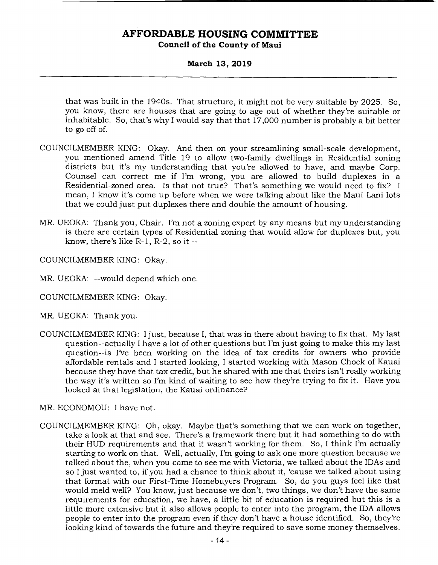# **AFFORDABLE HOUSING COMMITTEE**

**Council of the County of Maui** 

### **March 13, 2019**

that was built in the 1940s. That structure, it might not be very suitable by 2025. So, you know, there are houses that are going to age out of whether they're suitable or inhabitable. So, that's why I would say that that 17,000 number is probably a bit better to go off of.

- COUNCILMEMBER KING: Okay. And then on your streamlining small-scale development, you mentioned amend Title 19 to allow two-family dwellings in Residential zoning districts but it's my understanding that you're allowed to have, and maybe Corp. Counsel can correct me if I'm wrong, you are allowed to build duplexes in a Residential-zoned area. Is that not true? That's something we would need to fix? I mean, I know it's come up before when we were talking about like the Maui Lani lots that we could just put duplexes there and double the amount of housing.
- MR. UEOKA: Thank you, Chair. I'm not a zoning expert by any means but my understanding is there are certain types of Residential zoning that would allow for duplexes but, you know, there's like R-1, R-2, so it --

COUNCILMEMBER KING: Okay.

- MR. UEOKA: --would depend which one.
- COUNCILMEMBER KING: Okay.
- MR. UEOKA: Thank you.
- COUNCILMEMBER KING: I just, because I, that was in there about having to fix that. My last question--actually I have a lot of other questions but I'm just going to make this my last question--is I've been working on the idea of tax credits for owners who provide affordable rentals and I started looking, I started working with Mason Chock of Kauai because they have that tax credit, but he shared with me that theirs isn't really working the way it's written so I'm kind of waiting to see how they're trying to fix it. Have you looked at that legislation, the Kauai ordinance?
- MR. ECONOMOU: I have not.
- COUNCILMEMBER KING: Oh, okay. Maybe that's something that we can work on together, take a look at that and see. There's a framework there but it had something to do with their HUD requirements and that it wasn't working for them. So, I think I'm actually starting to work on that. Well, actually, I'm going to ask one more question because we talked about the, when you came to see me with Victoria, we talked about the IDAs and so I just wanted to, if you had a chance to think about it, 'cause we talked about using that format with our First-Time Homebuyers Program. So, do you guys feel like that would meld well? You know, just because we don't, two things, we don't have the same requirements for education, we have, a little bit of education is required but this is a little more extensive but it also allows people to enter into the program, the IDA allows people to enter into the program even if they don't have a house identified. So, they're looking kind of towards the future and they're required to save some money themselves.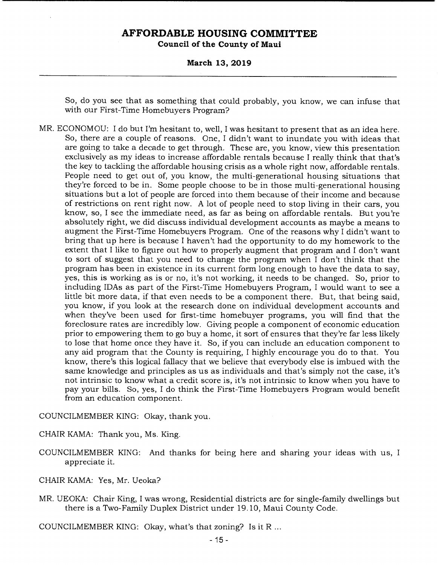# **AFFORDABLE HOUSING COMMITTEE**

**Council of the County of Maui** 

**March 13, 2019** 

So, do you see that as something that could probably, you know, we can infuse that with our First-Time Homebuyers Program?

MR. ECONOMOU: I do but I'm hesitant to, well, I was hesitant to present that as an idea here. So, there are a couple of reasons. One, I didn't want to inundate you with ideas that are going to take a decade to get through. These are, you know, view this presentation exclusively as my ideas to increase affordable rentals because I really think that that's the key to tackling the affordable housing crisis as a whole right now, affordable rentals. People need to get out of, you know, the multi-generational housing situations that they're forced to be in. Some people choose to be in those multi-generational housing situations but a lot of people are forced into them because of their income and because of restrictions on rent right now. A lot of people need to stop living in their cars, you know, so, I see the immediate need, as far as being on affordable rentals. But you're absolutely right, we did discuss individual development accounts as maybe a means to augment the First-Time Homebuyers Program. One of the reasons why I didn't want to bring that up here is because I haven't had the opportunity to do my homework to the extent that I like to figure out how to properly augment that program and I don't want to sort of suggest that you need to change the program when I don't think that the program has been in existence in its current form long enough to have the data to say, yes, this is working as is or no, it's not working, it needs to be changed. So, prior to including IDAs as part of the First-Time Homebuyers Program, I would want to see a little bit more data, if that even needs to be a component there. But, that being said, you know, if you look at the research done on individual development accounts and when they've been used for first-time homebuyer programs, you will find that the foreclosure rates are incredibly low. Giving people a component of economic education prior to empowering them to go buy a home, it sort of ensures that they're far less likely to lose that home once they have it. So, if you can include an education component to any aid program that the County is requiring, I highly encourage you do to that. You know, there's this logical fallacy that we believe that everybody else is imbued with the same knowledge and principles as us as individuals and that's simply not the case, it's not intrinsic to know what a credit score is, it's not intrinsic to know when you have to pay your bills. So, yes, I do think the First-Time Homebuyers Program would benefit from an education component.

COUNCILMEMBER KING: Okay, thank you.

CHAIR KAMA: Thank you, Ms. King.

- COUNCILMEMBER KING: And thanks for being here and sharing your ideas with us, I appreciate it.
- CHAIR KAMA: Yes, Mr. Ueoka?
- MR. UEOKA: Chair King, I was wrong, Residential districts are for single-family dwellings but there is a Two-Family Duplex District under 19. 10, Maui County Code.

COUNCILMEMBER KING: Okay, what's that zoning? Is it R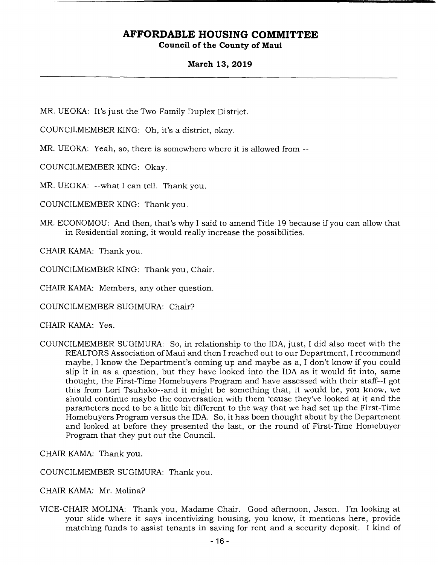### **March 13, 2019**

MR. UEOKA: It's just the Two-Family Duplex District.

COUNCILMEMBER KING: Oh, it's a district, okay.

MR. UEOKA: Yeah, so, there is somewhere where it is allowed from --

COUNCILMEMBER KING: Okay.

MR. UEOKA: --what I can tell. Thank you.

COUNCILMEMBER KING: Thank you.

MR. ECONOMOU: And then, that's why I said to amend Title 19 because if you can allow that in Residential zoning, it would really increase the possibilities.

CHAIR KAMA: Thank you.

COUNCILMEMBER KING: Thank you, Chair.

CHAIR KAMA: Members, any other question.

COUNCILMEMBER SUGIMURA: Chair?

CHAIR KAMA: Yes.

COUNCILMEMBER SUGIMURA: So, in relationship to the IDA, just, I did also meet with the REALTORS Association of Maui and then I reached out to our Department, I recommend maybe, I know the Department's coming up and maybe as a, I don't know if you could slip it in as a question, but they have looked into the IDA as it would fit into, same thought, the First-Time Homebuyers Program and have assessed with their staff--I got this from Lori Tsuhako--and it might be something that, it would be, you know, we should continue maybe the conversation with them 'cause they've looked at it and the parameters need to be a little bit different to the way that we had set up the First-Time Homebuyers Program versus the IDA. So, it has been thought about by the Department and looked at before they presented the last, or the round of First-Time Homebuyer Program that they put out the Council.

CHAIR KAMA: Thank you.

COUNCILMEMBER SUGIMURA: Thank you.

CHAIR KAMA: Mr. Molina?

VICE-CHAIR MOLINA: Thank you, Madame Chair. Good afternoon, Jason. I'm looking at your slide where it says incentivizing housing, you know, it mentions here, provide matching funds to assist tenants in saving for rent and a security deposit. I kind of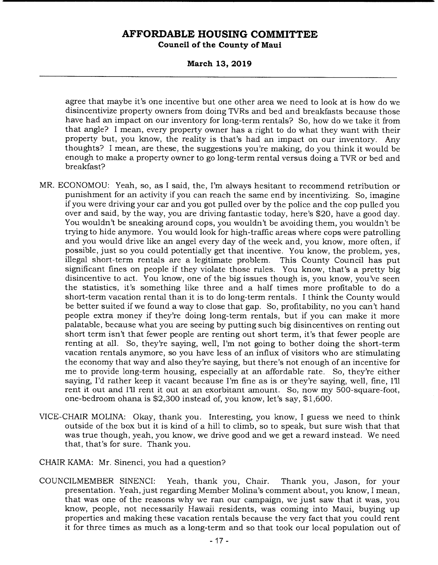**March 13, 2019** 

agree that maybe it's one incentive but one other area we need to look at is how do we disincentivize property owners from doing TVRs and bed and breakfasts because those have had an impact on our inventory for long-term rentals? So, how do we take it from that angle? I mean, every property owner has a right to do what they want with their property but, you know, the reality is that's had an impact on our inventory. Any thoughts? I mean, are these, the suggestions you're making, do you think it would be enough to make a property owner to go long-term rental versus doing a TVR or bed and breakfast?

- MR. ECONOMOU: Yeah, so, as I said, the, I'm always hesitant to recommend retribution or punishment for an activity if you can reach the same end by incentivizing. So, imagine if you were driving your car and you got pulled over by the police and the cop pulled you over and said, by the way, you are driving fantastic today, here's \$20, have a good day. You wouldn't be sneaking around cops, you wouldn't be avoiding them, you wouldn't be trying to hide anymore. You would look for high-traffic areas where cops were patrolling and you would drive like an angel every day of the week and, you know, more often, if possible, just so you could potentially get that incentive. You know, the problem, yes, illegal short-term rentals are a legitimate problem. This County Council has put significant fines on people if they violate those rules. You know, that's a pretty big disincentive to act. You know, one of the big issues though is, you know, you've seen the statistics, it's something like three and a half times more profitable to do a short-term vacation rental than it is to do long-term rentals. I think the County would be better suited if we found a way to close that gap. So, profitability, no you can't hand people extra money if they're doing long-term rentals, but if you can make it more palatable, because what you are seeing by putting such big disincentives on renting out short term isn't that fewer people are renting out short term, it's that fewer people are renting at all. So, they're saying, well, I'm not going to bother doing the short-term vacation rentals anymore, so you have less of an influx of visitors who are stimulating the economy that way and also they're saying, but there's not enough of an incentive for me to provide long-term housing, especially at an affordable rate. So, they're either saying, I'd rather keep it vacant because I'm fine as is or they're saying, well, fine, I'll rent it out and Ill rent it out at an exorbitant amount. So, now my 500-square-foot, one-bedroom ohana is \$2,300 instead of, you know, let's say, \$1,600.
- VICE-CHAIR MOLINA: Okay, thank you. Interesting, you know, I guess we need to think outside of the box but it is kind of a hill to climb, so to speak, but sure wish that that was true though, yeah, you know, we drive good and we get a reward instead. We need that, that's for sure. Thank you.
- CHAIR KAMA: Mr. Sinenci, you had a question?
- COUNCILMEMBER SINENCI: Yeah, thank you, Chair. Thank you, Jason, for your presentation. Yeah, just regarding Member Molina's comment about, you know, I mean, that was one of the reasons why we ran our campaign, we just saw that it was, you know, people, not necessarily Hawaii residents, was coming into Maui, buying up properties and making these vacation rentals because the very fact that you could rent it for three times as much as a long-term and so that took our local population out of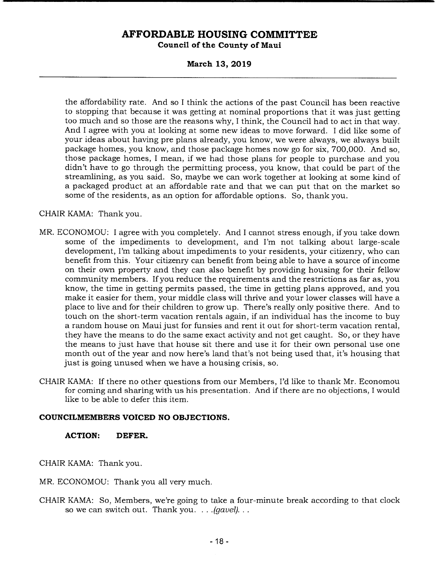**March 13, 2019** 

the affordability rate. And so I think the actions of the past Council has been reactive to stopping that because it was getting at nominal proportions that it was just getting too much and so those are the reasons why, I think, the Council had to act in that way. And I agree with you at looking at some new ideas to move forward. I did like some of your ideas about having pre plans already, you know, we were always, we always built package homes, you know, and those package homes now go for six, 700,000. And so, those package homes, I mean, if we had those plans for people to purchase and you didn't have to go through the permitting process, you know, that could be part of the streamlining, as you said. So, maybe we can work together at looking at some kind of a packaged product at an affordable rate and that we can put that on the market so some of the residents, as an option for affordable options. So, thank you.

### CHAIR KAMA: Thank you.

- MR. ECONOMOU: I agree with you completely. And I cannot stress enough, if you take down some of the impediments to development, and I'm not talking about large-scale development, I'm talking about impediments to your residents, your citizenry, who can benefit from this. Your citizenry can benefit from being able to have a source of income on their own property and they can also benefit by providing housing for their fellow community members. If you reduce the requirements and the restrictions as far as, you know, the time in getting permits passed, the time in getting plans approved, and you make it easier for them, your middle class will thrive and your lower classes will have a place to live and for their children to grow up. There's really only positive there. And to touch on the short-term vacation rentals again, if an individual has the income to buy a random house on Maui just for funsies and rent it out for short-term vacation rental, they have the means to do the same exact activity and not get caught. So, or they have the means to just have that house sit there and use it for their own personal use one month out of the year and now here's land that's not being used that, it's housing that just is going unused when we have a housing crisis, so.
- CHAIR KAMA: If there no other questions from our Members, I'd like to thank Mr. Economou for coming and sharing with us his presentation. And if there are no objections, I would like to be able to defer this item.

### **COUNCILMEMBERS VOICED NO OBJECTIONS.**

### **ACTION: DEFER.**

CHAIR KAMA: Thank you.

MR. ECONOMOU: Thank you all very much.

CHAIR KAMA: So, Members, we're going to take a four-minute break according to that clock so we can switch out. Thank you. . . *.(gavel).*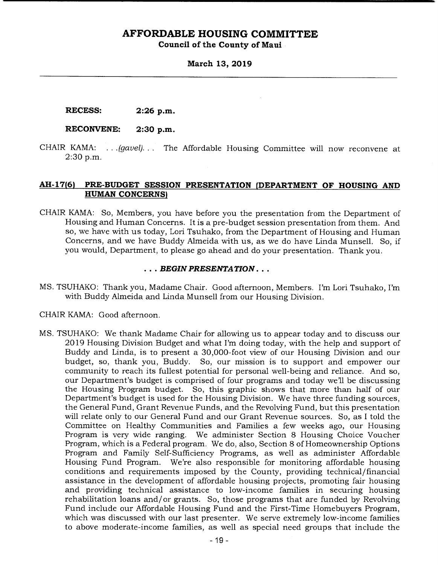# **AFFORDABLE HOUSING COMMITTEE**

**Council of the County of Maui** 

**March 13, 2019** 

**RECESS: 2:26 p.m.** 

### **RECONVENE: 2:30 p.m.**

CHAIR KAMA: . . . *(gavel).* . . The Affordable Housing Committee will now reconvene at 2:30 p.m.

### **AH-17(6) PRE-BUDGET SESSION PRESENTATION (DEPARTMENT OF HOUSING AND HUMAN CONCERNS)**

CHAIR KAMA: So, Members, you have before you the presentation from the Department of Housing and Human Concerns. It is a pre-budget session presentation from them. And so, we have with us today, Lori Tsuhako, from the Department of Housing and Human Concerns, and we have Buddy Almeida with us, as we do have Linda Munsell. So, if you would, Department, to please go ahead and do your presentation. Thank you.

### *• BEGIN PRESENTATION...*

MS. TSUHAKO: Thank you, Madame Chair. Good afternoon, Members. I'm Lori Tsuhako, I'm with Buddy Almeida and Linda Munsell from our Housing Division.

CHAIR KAMA: Good afternoon.

MS. TSUHAKO: We thank Madame Chair for allowing us to appear today and to discuss our 2019 Housing Division Budget and what I'm doing today, with the help and support of Buddy and Linda, is to present a 30,000-foot view of our Housing Division and our budget, so, thank you, Buddy. So, our mission is to support and empower our community to reach its fullest potential for personal well-being and reliance. And so, our Department's budget is comprised of four programs and today well be discussing the Housing Program budget. So, this graphic shows that more than half of our Department's budget is used for the Housing Division. We have three funding sources, the General Fund, Grant Revenue Funds, and the Revolving Fund, but this presentation will relate only to our General Fund and our Grant Revenue sources. So, as I told the Committee on Healthy Communities and Families a few weeks ago, our Housing Program is very wide ranging. We administer Section 8 Housing Choice Voucher Program, which is a Federal program. We do, also, Section 8 of Homeownership Options Program and Family Self-Sufficiency Programs, as well as administer Affordable Housing Fund Program. We're also responsible for monitoring affordable housing conditions and requirements imposed by the County, providing technical/ financial assistance in the development of affordable housing projects, promoting fair housing and providing technical assistance to low-income families in securing housing rehabilitation loans and/or grants. So, those programs that are funded by Revolving Fund include our Affordable Housing Fund and the First-Time Homebuyers Program, which was discussed with our last presenter. We serve extremely low-income families to above moderate-income families, as well as special need groups that include the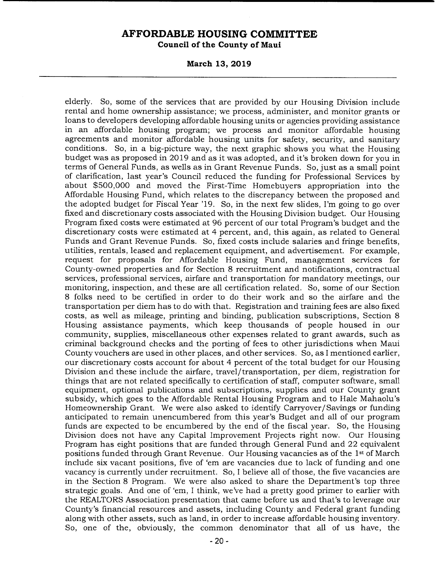# **AFFORDABLE HOUSING COMMITTEE**

**Council of the County of Maui** 

**March 13, 2019** 

elderly. So, some of the services that are provided by our Housing Division include rental and home ownership assistance; we process, administer, and monitor grants or loans to developers developing affordable housing units or agencies providing assistance in an affordable housing program; we process and monitor affordable housing agreements and monitor affordable housing units for safety, security, and sanitary conditions. So, in a big-picture way, the next graphic shows you what the Housing budget was as proposed in 2019 and as it was adopted, and it's broken down for you in terms of General Funds, as wells as in Grant Revenue Funds. So, just as a small point of clarification, last year's Council reduced the funding for Professional Services by about \$500,000 and moved the First-Time Homebuyers appropriation into the Affordable Housing Fund, which relates to the discrepancy between the proposed and the adopted budget for Fiscal Year '19. So, in the next few slides, I'm going to go over fixed and discretionary costs associated with the Housing Division budget. Our Housing Program fixed costs were estimated at 96 percent of our total Program's budget and the discretionary costs were estimated at 4 percent, and, this again, as related to General Funds and Grant Revenue Funds. So, fixed costs include salaries and fringe benefits, utilities, rentals, leased and replacement equipment, and advertisement. For example, request for proposals for Affordable Housing Fund, management services for County-owned properties and for Section 8 recruitment and notifications, contractual services, professional services, airfare and transportation for mandatory meetings, our monitoring, inspection, and these are all certification related. So, some of our Section 8 folks need to be certified in order to do their work and so the airfare and the transportation per diem has to do with that. Registration and training fees are also fixed costs, as well as mileage, printing and binding, publication subscriptions, Section 8 Housing assistance payments, which keep thousands of people housed in our community, supplies, miscellaneous other expenses related to grant awards, such as criminal background checks and the porting of fees to other jurisdictions when Maui County vouchers are used in other places, and other services. So, as I mentioned earlier, our discretionary costs account for about 4 percent of the total budget for our Housing Division and these include the airfare, travel/ transportation, per diem, registration for things that are not related specifically to certification of staff, computer software, small equipment, optional publications and subscriptions, supplies and our County grant subsidy, which goes to the Affordable Rental Housing Program and to Hale Mahaolu's Homeownership Grant. We were also asked to identify Carryover/ Savings or funding anticipated to remain unencumbered from this year's Budget and all of our program funds are expected to be encumbered by the end of the fiscal year. So, the Housing Division does not have any Capital Improvement Projects right now. Our Housing Program has eight positions that are funded through General Fund and 22 equivalent positions funded through Grant Revenue. Our Housing vacancies as of the 1st of March include six vacant positions, five of 'em are vacancies due to lack of funding and one vacancy is currently under recruitment. So, I believe all of those, the five vacancies are in the Section 8 Program. We were also asked to share the Department's top three strategic goals. And one of 'em, I think, we've had a pretty good primer to earlier with the REALTORS Association presentation that came before us and that's to leverage our County's financial resources and assets, including County and Federal grant funding along with other assets, such as land, in order to increase affordable housing inventory. So, one of the, obviously, the common denominator that all of us have, the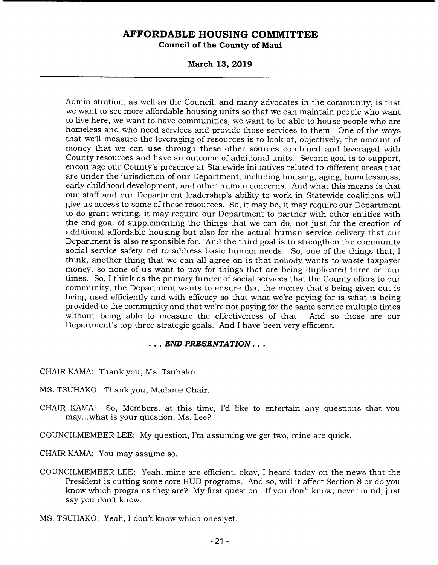**March 13, 2019** 

Administration, as well as the Council, and many advocates in the community, is that we want to see more affordable housing units so that we can maintain people who want to live here, we want to have communities, we want to be able to house people who are homeless and who need services and provide those services to them. One of the ways that we'll measure the leveraging of resources is to look at, objectively, the amount of money that we can use through these other sources combined and leveraged with County resources and have an outcome of additional units. Second goal is to support, encourage our County's presence at Statewide initiatives related to different areas that are under the jurisdiction of our Department, including housing, aging, homelessness, early childhood development, and other human concerns. And what this means is that our staff and our Department leadership's ability to work in Statewide coalitions will give us access to some of these resources. So, it may be, it may require our Department to do grant writing, it may require our Department to partner with other entities with the end goal of supplementing the things that we can do, not just for the creation of additional affordable housing but also for the actual human service delivery that our Department is also responsible for. And the third goal is to strengthen the community social service safety net to address basic human needs. So, one of the things that, I think, another thing that we can all agree on is that nobody wants to waste taxpayer money, so none of us want to pay for things that are being duplicated three or four times. So, I think as the primary funder of social services that the County offers to our community, the Department wants to ensure that the money that's being given out is being used efficiently and with efficacy so that what we're paying for is what is being provided to the community and that we're not paying for the same service multiple times without being able to measure the effectiveness of that. And so those are our Department's top three strategic goals. And I have been very efficient.

### *• END PRESENTATION...*

CHAIR KAMA: Thank you, Ms. Tsuhako.

- MS. TSUHAKO: Thank you, Madame Chair.
- CHAIR KAMA: So, Members, at this time, I'd like to entertain any questions that you may.. .what is your question, Ms. Lee?

COUNCILMEMBER LEE: My question, I'm assuming we get two, mine are quick.

CHAIR KAMA: You may assume so.

COUNCILMEMBER LEE: Yeah, mine are efficient, okay, I heard today on the news that the President is cutting some core HUD programs. And so, will it affect Section 8 or do you know which programs they are? My first question. If you don't know, never mind, just say you don't know.

MS. TSUHAKO: Yeah, I don't know which ones yet.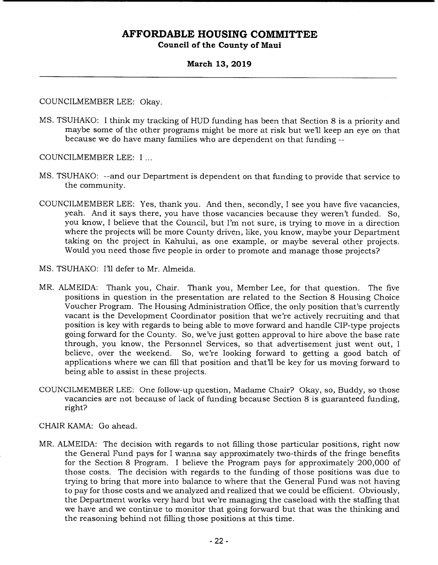### **March 13, 2019**

COUNCILMEMBER LEE: Okay.

- MS. TSUHAKO: I think my tracking of HUD funding has been that Section 8 is a priority and maybe some of the other programs might be more at risk but we'll keep an eye on that because we do have many families who are dependent on that funding --
- COUNCILMEMBER LEE: I
- MS. TSUHAKO: --and our Department is dependent on that funding to provide that service to the community.
- COUNCILMEMBER LEE: Yes, thank you. And then, secondly, I see you have five vacancies, yeah. And it says there, you have those vacancies because they weren't funded. So, you know, I believe that the Council, but I'm not sure, is trying to move in a direction where the projects will be more County driven, like, you know, maybe your Department taking on the project in Kahului, as one example, or maybe several other projects. Would you need those five people in order to promote and manage those projects?
- MS. TSUHAKO: I'll defer to Mr. Almeida.
- MR. ALMEIDA: Thank you, Chair. Thank you, Member Lee, for that question. The five positions in question in the presentation are related to the Section 8 Housing Choice Voucher Program. The Housing Administration Office, the only position that's currently vacant is the Development Coordinator position that we're actively recruiting and that position is key with regards to being able to move forward and handle CIP-type projects going forward for the County. So, we've just gotten approval to hire above the base rate through, you know, the Personnel Services, so that advertisement just went out, I believe, over the weekend. So, we're looking forward to getting a good batch of applications where we can fill that position and that'll be key for us moving forward to being able to assist in these projects.
- COUNCILMEMBER LEE: One follow-up question, Madame Chair? Okay, so, Buddy, so those vacancies are not because of lack of funding because Section 8 is guaranteed funding, right?

CHAIR KAMA: Go ahead.

MR. ALMEIDA: The decision with regards to not filling those particular positions, right now the General Fund pays for I wanna say approximately two-thirds of the fringe benefits for the Section 8 Program. I believe the Program pays for approximately 200,000 of those costs. The decision with regards to the funding of those positions was due to trying to bring that more into balance to where that the General Fund was not having to pay for those costs and we analyzed and realized that we could be efficient. Obviously, the Department works very hard but we're managing the caseload with the staffing that we have and we continue to monitor that going forward but that was the thinking and the reasoning behind not filling those positions at this time.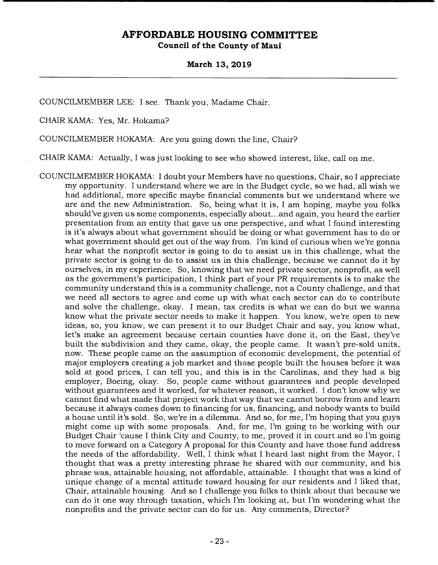#### **March 13, 2019**

COUNCILMEMBER LEE: I see. Thank you, Madame Chair.

CHAIR KAMA: Yes, Mr. Hokama?

COUNCILMEMBER HOKAMA: Are you going down the line, Chair?

CHAIR KAMA: Actually, I was just looking to see who showed interest, like, call on me.

COUNCILMEMBER HOKAMA: I doubt your Members have no questions, Chair, so I appreciate my opportunity. I understand where we are in the Budget cycle, so we had, all wish we had additional, more specific maybe financial comments but we understand where we are and the new Administration. So, being what it is, I am hoping, maybe you folks should've given us some components, especially about... and again, you heard the earlier presentation from an entity that gave us one perspective, and what I found interesting is it's always about what government should be doing or what government has to do or what government should get out of the way from. I'm kind of curious when we're gonna hear what the nonprofit sector is going to do to assist us in this challenge, what the private sector is going to do to assist us in this challenge, because we cannot do it by ourselves, in my experience. So, knowing that we need private sector, nonprofit, as well as the government's participation, I think part of your PR requirements is to make the community understand this is a community challenge, not a County challenge, and that we need all sectors to agree and come up with what each sector can do to contribute and solve the challenge, okay. I mean, tax credits is what we can do but we wanna know what the private sector needs to make it happen. You know, we're open to new ideas, so, you know, we can present it to our Budget Chair and say, you know what, let's make an agreement because certain counties have done it, on the East, they've built the subdivision and they came, okay, the people came. It wasn't pre-sold units, now. These people came on the assumption of economic development, the potential of major employers creating a job market and those people built the houses before it was sold at good prices, I can tell you, and this is in the Carolinas, and they had a big employer, Boeing, okay. So, people came without guarantees and people developed without guarantees and it worked, for whatever reason, it worked. I don't know why we cannot find what made that project work that way that we cannot borrow from and learn because it always comes down to financing for us, financing, and nobody wants to build a house until it's sold. So, we're in a dilemma. And so, for me, I'm hoping that you guys might come up with some proposals. And, for me, I'm going to be working with our Budget Chair 'cause I think City and County, to me, proved it in court and so I'm going to move forward on a Category A proposal for this County and have those fund address the needs of the affordability. Well, I think what I heard last night from the Mayor, I thought that was a pretty interesting phrase he shared with our community, and his phrase was, attainable housing, not affordable, attainable. I thought that was a kind of unique change of a mental attitude toward housing for our residents and I liked that, Chair, attainable housing. And so I challenge you folks to think about that because we can do it one way through taxation, which I'm looking at, but I'm wondering what the nonprofits and the private sector can do for us. Any comments, Director?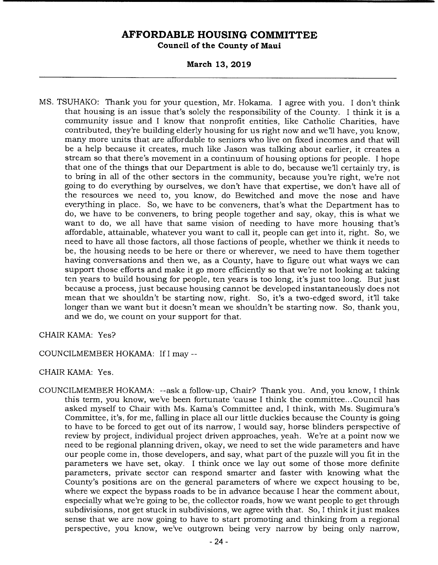**March 13, 2019** 

MS. TSUHAKO: Thank you for your question, Mr. Hokama. I agree with you. I don't think that housing is an issue that's solely the responsibility of the County. I think it is a community issue and I know that nonprofit entities, like Catholic Charities, have contributed, they're building elderly housing for us right now and we'll have, you know, many more units that are affordable to seniors who live on fixed incomes and that will be a help because it creates, much like Jason was talking about earlier, it creates a stream so that there's movement in a continuum of housing options for people. I hope that one of the things that our Department is able to do, because we'll certainly try, is to bring in all of the other sectors in the community, because you're right, we're not going to do everything by ourselves, we don't have that expertise, we don't have all of the resources we need to, you know, do Bewitched and move the nose and have everything in place. So, we have to be conveners, that's what the Department has to do, we have to be conveners, to bring people together and say, okay, this is what we want to do, we all have that same vision of needing to have more housing that's affordable, attainable, whatever you want to call it, people can get into it, right. So, we need to have all those factors, all those factions of people, whether we think it needs to be, the housing needs to be here or there or wherever, we need to have them together having conversations and then we, as a County, have to figure out what ways we can support those efforts and make it go more efficiently so that we're not looking at taking ten years to build housing for people, ten years is too long, it's just too long. But just because a process, just because housing cannot be developed instantaneously does not mean that we shouldn't be starting now, right. So, it's a two-edged sword, it'll take longer than we want but it doesn't mean we shouldn't be starting now. So, thank you, and we do, we count on your support for that.

### CHAIR KAMA: Yes?

### COUNCILMEMBER HOKAMA: If I may --

### CHAIR KAMA: Yes.

COUNCILMEMBER HOKAMA: --ask a follow-up, Chair? Thank you. And, you know, I think this term, you know, we've been fortunate 'cause I think the committee... Council has asked myself to Chair with Ms. Kama's Committee and, I think, with Ms. Sugimura's Committee, it's, for me, falling in place all our little duckies because the County is going to have to be forced to get out of its narrow, I would say, horse blinders perspective of review by project, individual project driven approaches, yeah. We're at a point now we need to be regional planning driven, okay, we need to set the wide parameters and have our people come in, those developers, and say, what part of the puzzle will you fit in the parameters we have set, okay. I think once we lay out some of those more definite parameters, private sector can respond smarter and faster with knowing what the County's positions are on the general parameters of where we expect housing to be, where we expect the bypass roads to be in advance because I hear the comment about, especially what we're going to be, the collector roads, how we want people to get through subdivisions, not get stuck in subdivisions, we agree with that. So, I think it just makes sense that we are now going to have to start promoting and thinking from a regional perspective, you know, we've outgrown being very narrow by being only narrow,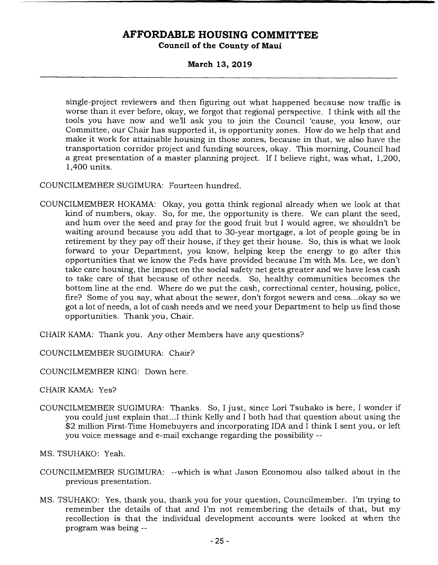### **March 13, 2019**

single-project reviewers and then figuring out what happened because now traffic is worse than it ever before, okay, we forgot that regional perspective. I think with all the tools you have now and well ask you to join the Council 'cause, you know, our Committee, our Chair has supported it, is opportunity zones. How do we help that and make it work for attainable housing in those zones, because in that, we also have the transportation corridor project and funding sources, okay. This morning, Council had a great presentation of a master planning project. If I believe right, was what, 1,200, 1,400 units.

COUNCILMEMBER SUGIMURA: Fourteen hundred.

- COUNCILMEMBER HOKAMA: Okay, you gotta think regional already when we look at that kind of numbers, okay. So, for me, the opportunity is there. We can plant the seed, and hum over the seed and pray for the good fruit but I would agree, we shouldn't be waiting around because you add that to 30-year mortgage, a lot of people going be in retirement by they pay off their house, if they get their house. So, this is what we look forward to your Department, you know, helping keep the energy to go after this opportunities that we know the Feds have provided because I'm with Ms. Lee, we don't take care housing, the impact on the social safety net gets greater and we have less cash to take care of that because of other needs. So, healthy communities becomes the bottom line at the end. Where do we put the cash, correctional center, housing, police, fire? Some of you say, what about the sewer, don't forgot sewers and cess... okay so we got a lot of needs, a lot of cash needs and we need your Department to help us find those opportunities. Thank you, Chair.
- CHAIR KAMA: Thank you. Any other Members have any questions?

COUNCILMEMBER SUGIMURA: Chair?

COUNCILMEMBER KING: Down here.

CHAIR KAMA: Yes?

COUNCILMEMBER SUGIMURA: Thanks. So, I just, since Lori Tsuhako is here, I wonder if you could just explain that.. .1 think Kelly and I both had that question about using the \$2 million First-Time Homebuyers and incorporating IDA and I think I sent you, or left you voice message and e-mail exchange regarding the possibility --

MS. TSUHAKO: Yeah.

- COUNCILMEMBER SUGIMURA: --which is what Jason Economou also talked about in the previous presentation.
- MS. TSUHAKO: Yes, thank you, thank you for your question, Councilmember. I'm trying to remember the details of that and I'm not remembering the details of that, but my recollection is that the individual development accounts were looked at when the program was being --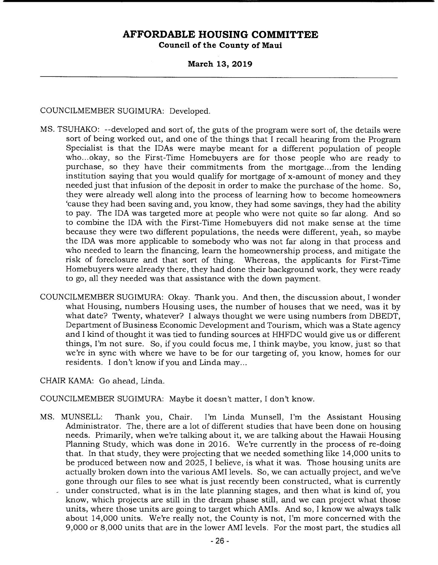### **March 13, 2019**

### COUNCILMEMBER SUGIMURA: Developed.

- MS. TSUHAKO: --developed and sort of, the guts of the program were sort of, the details were sort of being worked out, and one of the things that I recall hearing from the Program Specialist is that the IDAs were maybe meant for a different population of people who... okay, so the First-Time Homebuyers are for those people who are ready to purchase, so they have their commitments from the mortgage.. .from the lending institution saying that you would qualify for mortgage of x-amount of money and they needed just that infusion of the deposit in order to make the purchase of the home. So, they were already well along into the process of learning how to become homeowners 'cause they had been saving and, you know, they had some savings, they had the ability to pay. The IDA was targeted more at people who were not quite so far along. And so to combine the IDA with the First-Time Homebuyers did not make sense at the time because they were two different populations, the needs were different, yeah, so maybe the IDA was more applicable to somebody who was not far along in that process and who needed to learn the financing, learn the homeownership process, and mitigate the risk of foreclosure and that sort of thing. Whereas, the applicants for First-Time Homebuyers were already there, they had done their background work, they were ready to go, all they needed was that assistance with the down payment.
- COUNCILMEMBER SUGIMURA: Okay. Thank you. And then, the discussion about, I wonder what Housing, numbers Housing uses, the number of houses that we need, was it by what date? Twenty, whatever? I always thought we were using numbers from DBEDT, Department of Business Economic Development and Tourism, which was a State agency and I kind of thought it was tied to funding sources at HHFDC would give us or different things, I'm not sure. So, if you could focus me, I think maybe, you know, just so that we're in sync with where we have to be for our targeting of, you know, homes for our residents. I don't know if you and Linda may...

CHAIR KAMA: Go ahead, Linda.

COUNCILMEMBER SUGIMURA: Maybe it doesn't matter, I don't know.

- MS. MUNSELL: Thank you, Chair. I'm Linda Munsell, I'm the Assistant Housing Administrator. The, there are a lot of different studies that have been done on housing needs. Primarily, when we're talking about it, we are talking about the Hawaii Housing Planning Study, which was done in 2016. We're currently in the process of re-doing that. In that study, they were projecting that we needed something like 14,000 units to be produced between now and 2025, I believe, is what it was. Those housing units are actually broken down into the various AMI levels. So, we can actually project, and we've gone through our files to see what is just recently been constructed, what is currently under constructed, what is in the late planning stages, and then what is kind of, you
	- know, which projects are still in the dream phase still, and we can project what those units, where those units are going to target which AMIs. And so, I know we always talk about 14,000 units. We're really not, the County is not, I'm more concerned with the 9,000 or 8,000 units that are in the lower AMI levels. For the most part, the studies all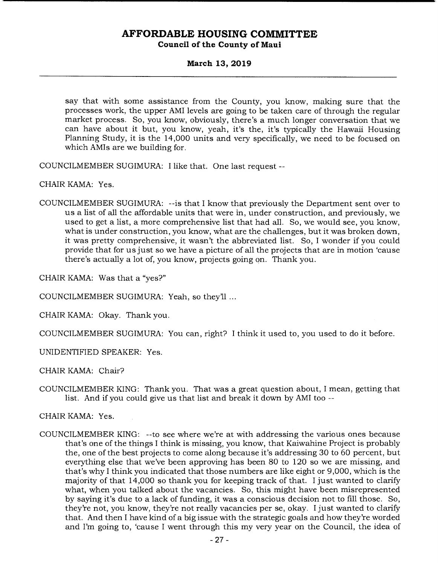### **March 13, 2019**

say that with some assistance from the County, you know, making sure that the processes work, the upper AMI levels are going to be taken care of through the regular market process. So, you know, obviously, there's a much longer conversation that we can have about it but, you know, yeah, it's the, it's typically the Hawaii Housing Planning Study, it is the 14,000 units and very specifically, we need to be focused on which AMIs are we building for.

COUNCILMEMBER SUGIMURA: I like that. One last request --

CHAIR KAMA: Yes.

COUNCILMEMBER SUGIMURA: --is that I know that previously the Department sent over to us a list of all the affordable units that were in, under construction, and previously, we used to get a list, a more comprehensive list that had all. So, we would see, you know, what is under construction, you know, what are the challenges, but it was broken down, it was pretty comprehensive, it wasn't the abbreviated list. So, I wonder if you could provide that for us just so we have a picture of all the projects that are in motion 'cause there's actually a lot of, you know, projects going on. Thank you.

CHAIR KAMA: Was that a "yes?"

COUNCILMEMBER SUGIMURA: Yeah, so they'll

CHAIR KAMA: Okay. Thank you.

COUNCILMEMBER SUGIMURA: You can, right? I think it used to, you used to do it before.

UNIDENTIFIED SPEAKER: Yes.

CHAIR KAMA: Chair?

COUNCILMEMBER KING: Thank you. That was a great question about, I mean, getting that list. And if you could give us that list and break it down by AMI too --

CHAIR KAMA: Yes.

COUNCILMEMBER KING: --to see where we're at with addressing the various ones because that's one of the things I think is missing, you know, that Kaiwahine Project is probably the, one of the best projects to come along because it's addressing 30 to 60 percent, but everything else that we've been approving has been 80 to 120 so we are missing, and that's why I think you indicated that those numbers are like eight or 9,000, which is the majority of that 14,000 so thank you for keeping track of that. I just wanted to clarify what, when you talked about the vacancies. So, this might have been misrepresented by saying it's due to a lack of funding, it was a conscious decision not to fill those. So, they're not, you know, they're not really vacancies per Se, okay. I just wanted to clarify that. And then I have kind of a big issue with the strategic goals and how they're worded and I'm going to, 'cause I went through this my very year on the Council, the idea of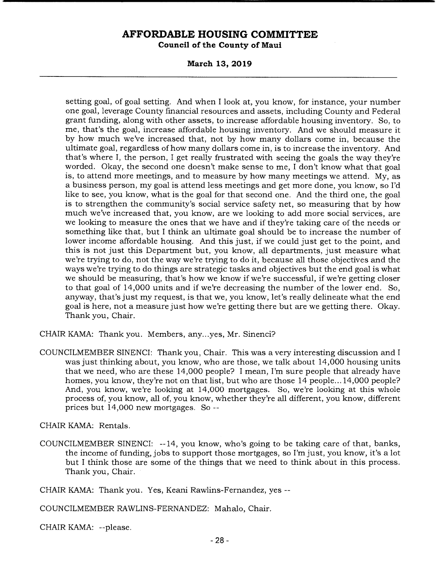**March 13, 2019** 

setting goal, of goal setting. And when I look at, you know, for instance, your number one goal, leverage County financial resources and assets, including County and Federal grant funding, along with other assets, to increase affordable housing inventory. So, to me, that's the goal, increase affordable housing inventory. And we should measure it by how much we've increased that, not by how many dollars come in, because the ultimate goal, regardless of how many dollars come in, is to increase the inventory. And that's where I, the person, I get really frustrated with seeing the goals the way they're worded. Okay, the second one doesn't make sense to me, I don't know what that goal is, to attend more meetings, and to measure by how many meetings we attend. My, as a business person, my goal is attend less meetings and get more done, you know, so I'd like to see, you know, what is the goal for that second one. And the third one, the goal is to strengthen the community's social service safety net, so measuring that by how much we've increased that, you know, are we looking to add more social services, are we looking to measure the ones that we have and if they're taking care of the needs or something like that, but I think an ultimate goal should be to increase the number of lower income affordable housing. And this just, if we could just get to the point, and this is not just this Department but, you know, all departments, just measure what we're trying to do, not the way we're trying to do it, because all those objectives and the ways we're trying to do things are strategic tasks and objectives but the end goal is what we should be measuring, that's how we know if we're successful, if we're getting closer to that goal of 14,000 units and if we're decreasing the number of the lower end. So, anyway, that's just my request, is that we, you know, let's really delineate what the end goal is here, not a measure just how we're getting there but are we getting there. Okay. Thank you, Chair.

CHAIR KAMA: Thank you. Members, any.. .yes, Mr. Sinenci?

COUNCILMEMBER SINENCI: Thank you, Chair. This was a very interesting discussion and I was just thinking about, you know, who are those, we talk about 14,000 housing units that we need, who are these 14,000 people? I mean, I'm sure people that already have homes, you know, they're not on that list, but who are those 14 people... 14,000 people? And, you know, we're looking at 14,000 mortgages. So, we're looking at this whole process of, you know, all of, you know, whether they're all different, you know, different prices but 14,000 new mortgages. So --

CHAIR KAMA: Rentals.

COUNCILMEMBER SINENCI: --14, you know, who's going to be taking care of that, banks, the income of funding, jobs to support those mortgages, so I'm just, you know, it's a lot but I think those are some of the things that we need to think about in this process. Thank you, Chair.

CHAIR KAMA: Thank you. Yes, Keani Rawlins-Fernandez, yes --

COUNCILMEMBER RAWLINS-FERNANDEZ: Mahalo, Chair.

CHAIR KAMA: --please.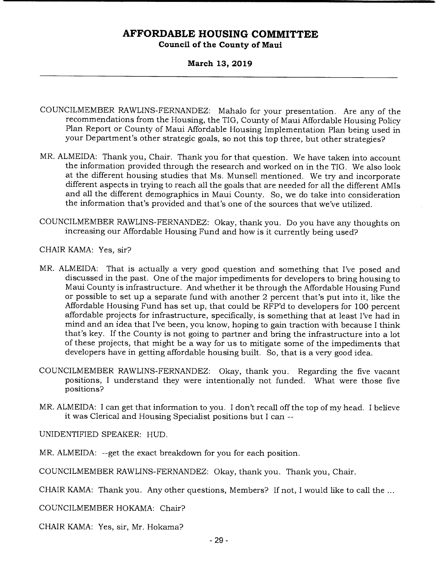### **March 13, 2019**

- COUNCILMEMBER RAWLINS-FERNANDEZ: Mahalo for your presentation. Are any of the recommendations from the Housing, the TIG, County of Maui Affordable Housing Policy Plan Report or County of Maui Affordable Housing Implementation Plan being used in your Department's other strategic goals, so not this top three, but other strategies?
- MR. ALMEIDA: Thank you, Chair. Thank you for that question. We have taken into account the information provided through the research and worked on in the TIG. We also look at the different housing studies that Ms. Munsell mentioned. We try and incorporate different aspects in trying to reach all the goals that are needed for all the different AMIs and all the different demographics in Maui County. So, we do take into consideration the information that's provided and that's one of the sources that we've utilized.
- COUNCILMEMBER RAWLINS-FERNANDEZ: Okay, thank you. Do you have any thoughts on increasing our Affordable Housing Fund and how is it currently being used?
- CHAIR KAMA: Yes, sir?
- MR. ALMEIDA: That is actually a very good question and something that I've posed and discussed in the past. One of the major impediments for developers to bring housing to Maui County is infrastructure. And whether it be through the Affordable Housing Fund or possible to set up a separate fund with another 2 percent that's put into it, like the Affordable Housing Fund has set up, that could be RFP'd to developers for 100 percent affordable projects for infrastructure, specifically, is something that at least I've had in mind and an idea that I've been, you know, hoping to gain traction with because I think that's key. If the County is not going to partner and bring the infrastructure into a lot of these projects, that might be a way for us to mitigate some of the impediments that developers have in getting affordable housing built. So, that is a very good idea.
- COUNCILMEMBER RAWLINS-FERNANDEZ: Okay, thank you. Regarding the five vacant positions, I understand they were intentionally not funded. What were those five positions?
- MR. ALMEIDA: I can get that information to you. I don't recall off the top of my head. I believe it was Clerical and Housing Specialist positions but I can --

UNIDENTIFIED SPEAKER: HUD.

MR. ALMEIDA: --get the exact breakdown for you for each position.

COUNCILMEMBER RAWLINS-FERNANDEZ: Okay, thank you. Thank you, Chair.

CHAIR KAMA: Thank you. Any other questions, Members? If not, I would like to call the ...

COUNCILMEMBER HOKAMA: Chair?

CHAIR KAMA: Yes, sir, Mr. Hokama?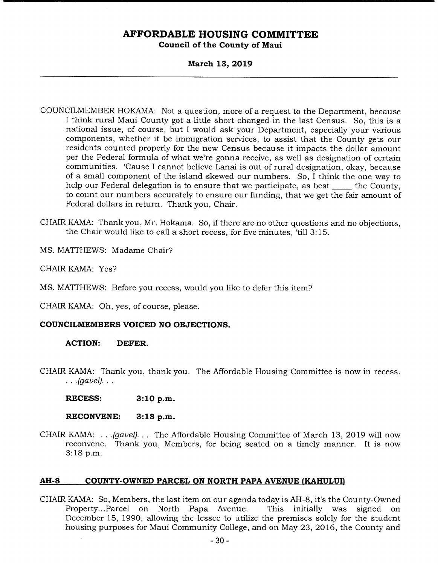### **March 13, 2019**

- COUNCILMEMBER HOKAMA: Not a question, more of a request to the Department, because I think rural Maui County got a little short changed in the last Census. So, this is a national issue, of course, but I would ask your Department, especially your various components, whether it be immigration services, to assist that the County gets our residents counted properly for the new Census because it impacts the dollar amount per the Federal formula of what we're gonna receive, as well as designation of certain communities. 'Cause I cannot believe Lanai is out of rural designation, okay, because of a small component of the island skewed our numbers. So, I think the one way to help our Federal delegation is to ensure that we participate, as best \_\_\_\_\_ the County, to count our numbers accurately to ensure our funding, that we get the fair amount of Federal dollars in return. Thank you, Chair.
- CHAIR KAMA: Thank you, Mr. Hokama. So, if there are no other questions and no objections, the Chair would like to call a short recess, for five minutes, 'till 3:15.

MS. MATTHEWS: Madame Chair?

CHAIR KAMA: Yes?

MS. MATTHEWS: Before you recess, would you like to defer this item?

CHAIR KAMA: Oh, yes, of course, please.

### **COUNCILMEMBERS VOICED NO OBJECTIONS.**

### **ACTION: DEFER.**

CHAIR KAMA: Thank you, thank you. The Affordable Housing Committee is now in recess. *(gavel).* 

**RECESS: 3:10 p.m.** 

RECONVENE: 3:18 p.m.

CHAIR KAMA: . . *.(gavel). . .* The Affordable Housing Committee of March 13, 2019 will now reconvene. Thank you, Members, for being seated on a timely manner. It is now 3:18 p.m.

### **AH-8 COUNTY-OWNED PARCEL ON NORTH PAPA AVENUE (KAHULUI)**

CHAIR KAMA: So, Members, the last item on our agenda today is AH-8, it's the County-Owned Property... Parcel on North Papa Avenue. This initially was signed on December 15, 1990, allowing the lessee to utilize the premises solely for the student housing purposes for Maui Community College, and on May 23, 2016, the County and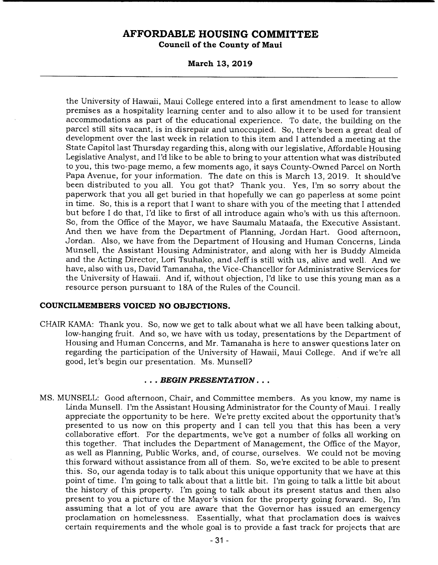**March 13, 2019** 

the University of Hawaii, Maui College entered into a first amendment to lease to allow premises as a hospitality learning center and to also allow it to be used for transient accommodations as part of the educational experience. To date, the building on the parcel still sits vacant, is in disrepair and unoccupied. So, there's been a great deal of development over the last week in relation to this item and I attended a meeting at the State Capitol last Thursday regarding this, along with our legislative, Affordable Housing Legislative Analyst, and I'd like to be able to bring to your attention what was distributed to you, this two-page memo, a few moments ago, it says County-Owned Parcel on North Papa Avenue, for your information. The date on this is March 13, 2019. It should've been distributed to you all. You got that? Thank you. Yes, I'm so sorry about the paperwork that you all get buried in that hopefully we can go paperless at some point in time. So, this is a report that I want to share with you of the meeting that I attended but before I do that, I'd like to first of all introduce again who's with us this afternoon. So, from the Office of the Mayor, we have Saumalu Mataafa, the Executive Assistant. And then we have from the Department of Planning, Jordan Hart. Good afternoon, Jordan. Also, we have from the Department of Housing and Human Concerns, Linda Munsell, the Assistant Housing Administrator, and along with her is Buddy Almeida and the Acting Director, Lori Tsuhako, and Jeff is still with us, alive and well. And we have, also with us, David Tamanaha, the Vice-Chancellor for Administrative Services for the University of Hawaii. And if, without objection, I'd like to use this young man as a resource person pursuant to 18A of the Rules of the Council.

### **COUNCILMEMBERS VOICED NO OBJECTIONS.**

CHAIR KAMA: Thank you. So, now we get to talk about what we all have been talking about, low-hanging fruit. And so, we have with us today, presentations by the Department of Housing and Human Concerns, and Mr. Tamanaha is here to answer questions later on regarding the participation of the University of Hawaii, Maui College. And if we're all good, let's begin our presentation. Ms. Munsell?

#### *• BEGIN PRESENTATION...*

MS. MUNSELL: Good afternoon, Chair, and Committee members. As you know, my name is Linda Munsell. I'm the Assistant Housing Administrator for the County of Maui. I really appreciate the opportunity to be here. We're pretty excited about the opportunity that's presented to us now on this property and I can tell you that this has been a very collaborative effort. For the departments, we've got a number of folks all working on this together. That includes the Department of Management, the Office of the Mayor, as well as Planning, Public Works, and, of course, ourselves. We could not be moving this forward without assistance from all of them. So, we're excited to be able to present this. So, our agenda today is to talk about this unique opportunity that we have at this point of time. I'm going to talk about that a little bit. I'm going to talk a little bit about the history of this property. I'm going to talk about its present status and then also present to you a picture of the Mayor's vision for the property going forward. So, I'm assuming that a lot of you are aware that the Governor has issued an emergency proclamation on homelessness. Essentially, what that proclamation does is waives certain requirements and the whole goal is to provide a fast track for projects that are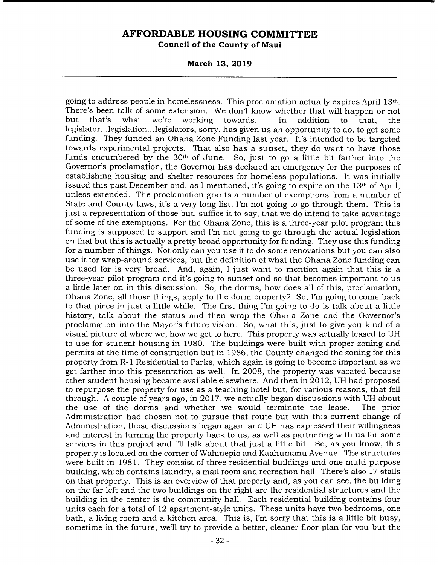**March 13, 2019** 

going to address people in homelessness. This proclamation actually expires April 13th. There's been talk of some extension. We don't know whether that will happen or not but that's what we're working towards. In addition to that, the legislator... legislation... legislators, sorry, has given us an opportunity to do, to get some funding. They funded an Ohana Zone Funding last year. It's intended to be targeted towards experimental projects. That also has a sunset, they do want to have those funds encumbered by the 30th of June. So, just to go a little bit farther into the Governor's proclamation, the Governor has declared an emergency for the purposes of establishing housing and shelter resources for homeless populations. It was initially issued this past December and, as I mentioned, it's going to expire on the 13th of April, unless extended. The proclamation grants a number of exemptions from a number of State and County laws, it's a very long list, I'm not going to go through them. This is just a representation of those but, suffice it to say, that we do intend to take advantage of some of the exemptions. For the Ohana Zone, this is a three-year pilot program this funding is supposed to support and I'm not going to go through the actual legislation on that but this is actually a pretty broad opportunity for funding. They use this funding for a number of things. Not only can you use it to do some renovations but you can also use it for wrap-around services, but the definition of what the Ohana Zone funding can be used for is very broad. And, again, I just want to mention again that this is a three-year pilot program and it's going to sunset and so that becomes important to us a little later on in this discussion. So, the dorms, how does all of this, proclamation, Ohana Zone, all those things, apply to the dorm property? So, I'm going to come back to that piece in just a little while. The first thing I'm going to do is talk about a little history, talk about the status and then wrap the Ohana Zone and the Governor's proclamation into the Mayor's future vision. So, what this, just to give you kind of a visual picture of where we, how we got to here. This property was actually leased to UH to use for student housing in 1980. The buildings were built with proper zoning and permits at the time of construction but in 1986, the County changed the zoning for this property from R- 1 Residential to Parks, which again is going to become important as we get farther into this presentation as well. In 2008, the property was vacated because other student housing became available elsewhere. And then in 2012, UH had proposed to repurpose the property for use as a teaching hotel but, for various reasons, that fell through. A couple of years ago, in 2017, we actually began discussions with UH about the use of the dorms and whether we would terminate the lease. The prior Administration had chosen not to pursue that route but with this current change of Administration, those discussions began again and UH has expressed their willingness and interest in turning the property back to us, as well as partnering with us for some services in this project and I'll talk about that just a little bit. So, as you know, this property is located on the corner of Wahinepio and Kaahumanu Avenue. The structures were built in 1981. They consist of three residential buildings and one multi-purpose building, which contains laundry, a mail room and recreation hall. There's also 17 stalls on that property. This is an overview of that property and, as you can see, the building on the far left and the two buildings on the right are the residential structures and the building in the center is the community hall. Each residential building contains four units each for a total of 12 apartment-style units. These units have two bedrooms, one bath, a living room and a kitchen area. This is, I'm sorry that this is a little bit busy, sometime in the future, we'll try to provide a better, cleaner floor plan for you but the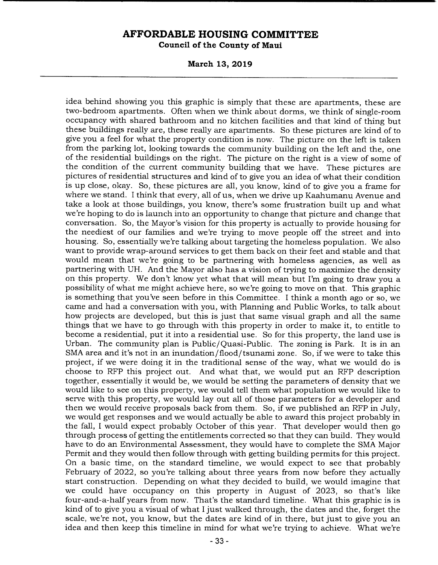**March 13, 2019** 

idea behind showing you this graphic is simply that these are apartments, these are two-bedroom apartments. Often when we think about dorms, we think of single-room occupancy with shared bathroom and no kitchen facilities and that kind of thing but these buildings really are, these really are apartments. So these pictures are kind of to give you a feel for what the property condition is now. The picture on the left is taken from the parking lot, looking towards the community building on the left and the, one of the residential buildings on the right. The picture on the right is a view of some of the condition of the current community building that we have. These pictures are pictures of residential structures and kind of to give you an idea of what their condition is up close, okay. So, these pictures are all, you know, kind of to give you a frame for where we stand. I think that every, all of us, when we drive up Kaahumanu Avenue and take a look at those buildings, you know, there's some frustration built up and what we're hoping to do is launch into an opportunity to change that picture and change that conversation. So, the Mayor's vision for this property is actually to provide housing for the neediest of our families and we're trying to move people off the street and into housing. So, essentially we're talking about targeting the homeless population. We also want to provide wrap-around services to get them back on their feet and stable and that would mean that we're going to be partnering with homeless agencies, as well as partnering with UH. And the Mayor also has a vision of trying to maximize the density on this property. We don't know yet what that will mean but I'm going to draw you a possibility of what me might achieve here, so we're going to move on that. This graphic is something that you've seen before in this Committee. I think a month ago or so, we came and had a conversation with you, with Planning and Public Works, to talk about how projects are developed, but this is just that same visual graph and all the same things that we have to go through with this property in order to make it, to entitle to become a residential, put it into a residential use. So for this property, the land use is Urban. The community plan is Public/Quasi-Public. The zoning is Park. It is in an SMA area and it's not in an inundation/flood/tsunami zone. So, if we were to take this project, if we were doing it in the traditional sense of the way, what we would do is choose to RFP this project out. And what that, we would put an RFP description together, essentially it would be, we would be setting the parameters of density that we would like to see on this property, we would tell them what population we would like to serve with this property, we would lay out all of those parameters for a developer and then we would receive proposals back from them. So, if we published an RFP in July, we would get responses and we would actually be able to award this project probably in the fall, I would expect probably October of this year. That developer would then go through process of getting the entitlements corrected so that they can build. They would have to do an Environmental Assessment, they would have to complete the SMA Major Permit and they would then follow through with getting building permits for this project. On a basic time, on the standard timeline, we would expect to see that probably February of 2022, so you're talking about three years from now before they actually start construction. Depending on what they decided to build, we would imagine that we could have occupancy on this property in August of 2023, so that's like four-and-a-half years from now. That's the standard timeline. What this graphic is is kind of to give you a visual of what I just walked through, the dates and the, forget the scale, we're not, you know, but the dates are kind of in there, but just to give you an idea and then keep this timeline in mind for what we're trying to achieve. What we're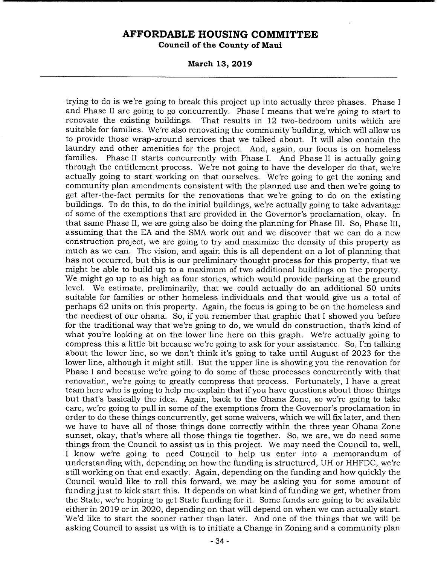**March 13, 2019** 

trying to do is we're going to break this project up into actually three phases. Phase I and Phase II are going to go concurrently. Phase I means that we're going to start to renovate the existing buildings. That results in 12 two-bedroom units which are suitable for families. We're also renovating the community building, which will allow us to provide those wrap-around services that we talked about. It will also contain the laundry and other amenities for the project. And, again, our focus is on homeless families. Phase II starts concurrently with Phase I. And Phase II is actually going through the entitlement process. We're not going to have the developer do that, we're actually going to start working on that ourselves. We're going to get the zoning and community plan amendments consistent with the planned use and then we're going to get after-the-fact permits for the renovations that we're going to do on the existing buildings. To do this, to do the initial buildings, we're actually going to take advantage of some of the exemptions that are provided in the Governor's proclamation, okay. In that same Phase II, we are going also be doing the planning for Phase III. So, Phase III, assuming that the EA and the SMA work out and we discover that we can do a new construction project, we are going to try and maximize the density of this property as much as we can. The vision, and again this is all dependent on a lot of planning that has not occurred, but this is our preliminary thought process for this property, that we might be able to build up to a maximum of two additional buildings on the property. We might go up to as high as four stories, which would provide parking at the ground level. We estimate, preliminarily, that we could actually do an additional 50 units suitable for families or other homeless individuals and that would give us a total of perhaps 62 units on this property. Again, the focus is going to be on the homeless and the neediest of our ohana. So, if you remember that graphic that I showed you before for the traditional way that we're going to do, we would do construction, that's kind of what you're looking at on the lower line here on this graph. We're actually going to compress this a little bit because we're going to ask for your assistance. So, I'm talking about the lower line, so we don't think it's going to take until August of 2023 for the lower line, although it might still. But the upper line is showing you the renovation for Phase I and because we're going to do some of these processes concurrently with that renovation, we're going to greatly compress that process. Fortunately, I have a great team here who is going to help me explain that if you have questions about those things but that's basically the idea. Again, back to the Ghana Zone, so we're going to take care, we're going to pull in some of the exemptions from the Governor's proclamation in order to do these things concurrently, get some waivers, which we will fix later, and then we have to have all of those things done correctly within the three-year Ghana Zone sunset, okay, that's where all those things tie together. So, we are, we do need some things from the Council to assist us in this project. We may need the Council to, well, I know we're going to need Council to help us enter into a memorandum of understanding with, depending on how the funding is structured, UH or HHFDC, we're still working on that end exactly. Again, depending on the funding and how quickly the Council would like to roll this forward, we may be asking you for some amount of funding just to kick start this. It depends on what kind of funding we get, whether from the State, we're hoping to get State funding for it. Some funds are going to be available either in 2019 or in 2020, depending on that will depend on when we can actually start. We'd like to start the sooner rather than later. And one of the things that we will be asking Council to assist us with is to initiate a Change in Zoning and a community plan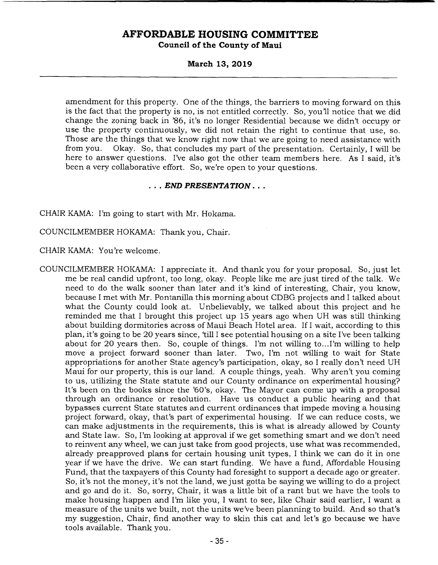**March 13, 2019** 

amendment for this property. One of the things, the barriers to moving forward on this is the fact that the property is no, is not entitled correctly. So, you'll notice that we did change the zoning back in '86, it's no longer Residential because we didn't occupy or use the property continuously, we did not retain the right to continue that use, so. Those are the things that we know right now that we are going to need assistance with from you. Okay. So, that concludes my part of the presentation. Certainly, I will be here to answer questions. I've also got the other team members here. As I said, it's been a very collaborative effort. So, we're open to your questions.

#### *• END PRESENTATION...*

#### CHAIR KAMA: I'm going to start with Mr. Hokama.

COUNCILMEMBER HOKAMA: Thank you, Chair.

CHAIR KAMA: You're welcome.

COUNCILMEMBER HOKAMA: I appreciate it. And thank you for your proposal. So, just let me be real candid upfront, too long, okay. People like me are just tired of the talk. We need to do the walk sooner than later and it's kind of interesting, Chair, you know, because I met with Mr. Pontanilla this morning about CDBG projects and I talked about what the County could look at. Unbelievably, we talked about this project and he reminded me that I brought this project up 15 years ago when UH was still thinking about building dormitories across of Maui Beach Hotel area. If I wait, according to this plan, it's going to be 20 years since, 'till I see potential housing on a site I've been talking about for 20 years then. So, couple of things. I'm not willing to...I'm willing to help move a project forward sooner than later. Two, I'm not willing to wait for State appropriations for another State agency's participation, okay, so I really don't need UH Maui for our property, this is our land. A couple things, yeah. Why aren't you coming to us, utilizing the State statute and our County ordinance on experimental housing? It's been on the books since the '60's, okay. The Mayor can come up with a proposal through an ordinance or resolution. Have us conduct a public hearing and that bypasses current State statutes and current ordinances that impede moving a housing project forward, okay, that's part of experimental housing. If we can reduce costs, we can make adjustments in the requirements, this is what is already allowed by County and State law. So, I'm looking at approval if we get something smart and we don't need to reinvent any wheel, we can just take from good projects, use what was recommended, already preapproved plans for certain housing unit types, I think we can do it in one year if we have the drive. We can start funding. We have a fund, Affordable Housing Fund, that the taxpayers of this County had foresight to support a decade ago or greater. So, it's not the money, it's not the land, we just gotta be saying we willing to do a project and go and do it. So, sorry, Chair, it was a little bit of a rant but we have the tools to make housing happen and I'm like you, I want to see, like Chair said earlier, I want a measure of the units we built, not the units we've been planning to build. And so that's my suggestion, Chair, find another way to skin this cat and let's go because we have tools available. Thank you.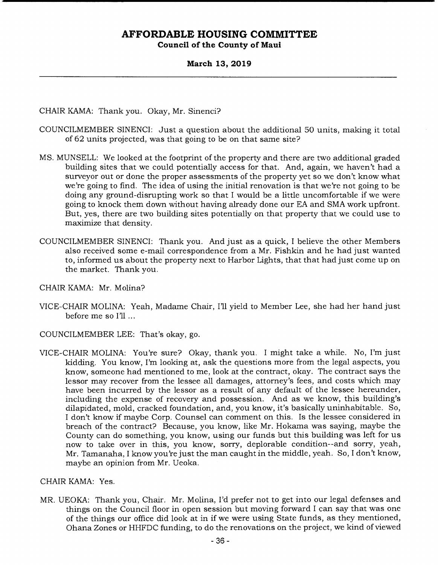**March 13, 2019** 

CHAIR KAMA: Thank you. Okay, Mr. Sinenci?

- COUNCILMEMBER SINENCI: Just a question about the additional 50 units, making it total of 62 units projected, was that going to be on that same site?
- MS. MUNSELL: We looked at the footprint of the property and there are two additional graded building sites that we could potentially access for that. And, again, we haven't had a surveyor out or done the proper assessments of the property yet so we don't know what we're going to find. The idea of using the initial renovation is that we're not going to be doing any ground-disrupting work so that I would be a little uncomfortable if we were going to knock them down without having already done our EA and SMA work upfront. But, yes, there are two building sites potentially on that property that we could use to maximize that density.
- COUNCILMEMBER SINENCI: Thank you. And just as a quick, I believe the other Members also received some e-mail correspondence from a Mr. Fishkin and he had just wanted to, informed us about the property next to Harbor Lights, that that had just come up on the market. Thank you.
- CHAIR KAMA: Mr. Molina?
- VICE-CHAIR MOLINA: Yeah, Madame Chair, I'll yield to Member Lee, she had her hand just before me so I'll
- COUNCILMEMBER LEE: That's okay, go.
- VICE-CHAIR MOLINA: You're sure? Okay, thank you. I might take a while. No, I'm just kidding. You know, I'm looking at, ask the questions more from the legal aspects, you know, someone had mentioned to me, look at the contract, okay. The contract says the lessor may recover from the lessee all damages, attorney's fees, and costs which may have been incurred by the lessor as a result of any default of the lessee hereunder, including the expense of recovery and possession. And as we know, this building's dilapidated, mold, cracked foundation, and, you know, it's basically uninhabitable. So, I don't know if maybe Corp. Counsel can comment on this. Is the lessee considered in breach of the contract? Because, you know, like Mr. Hokama was saying, maybe the County can do something, you know, using our funds but this building was left for us now to take over in this, you know, sorry, deplorable condition--and sorry, yeah, Mr. Tamanaha, I know you're just the man caught in the middle, yeah. So, I don't know, maybe an opinion from Mr. Ueoka.

CHAIR KAMA: Yes.

MR. UEOKA: Thank you, Chair. Mr. Molina, I'd prefer not to get into our legal defenses and things on the Council floor in open session but moving forward I can say that was one of the things our office did look at in if we were using State funds, as they mentioned, Ohana Zones or HHFDC funding, to do the renovations on the project, we kind of viewed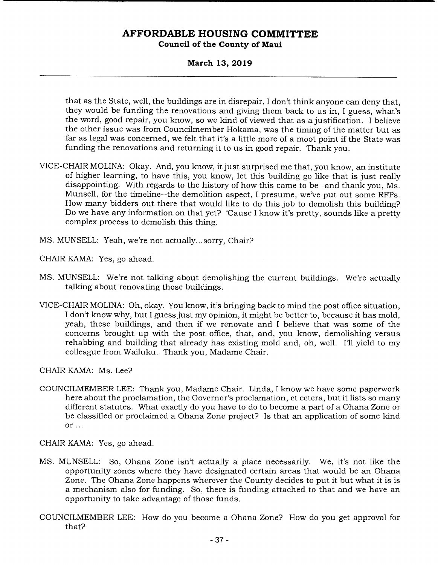### **March 13, 2019**

that as the State, well, the buildings are in disrepair, I don't think anyone can deny that, they would be funding the renovations and giving them back to us in, I guess, what's the word, good repair, you know, so we kind of viewed that as a justification. I believe the other issue was from Councilmember Hokama, was the timing of the matter but as far as legal was concerned, we felt that it's a little more of a moot point if the State was funding the renovations and returning it to us in good repair. Thank you.

- VICE-CHAIR MOLINA: Okay. And, you know, it just surprised me that, you know, an institute of higher learning, to have this, you know, let this building go like that is just really disappointing. With regards to the history of how this came to be--and thank you, Ms. Munsell, for the timeline--the demolition aspect, I presume, we've put out some RFPs. How many bidders out there that would like to do this job to demolish this building? Do we have any information on that yet? 'Cause I know it's pretty, sounds like a pretty complex process to demolish this thing.
- MS. MUNSELL: Yeah, we're not actually... sorry, Chair?

CHAIR KAMA: Yes, go ahead.

- MS. MUNSELL: We're not talking about demolishing the current buildings. We're actually talking about renovating those buildings.
- VICE-CHAIR MOLINA: Oh, okay. You know, it's bringing back to mind the post office situation, I don't know why, but I guess just my opinion, it might be better to, because it has mold, yeah, these buildings, and then if we renovate and I believe that was some of the concerns brought up with the post office, that, and, you know, demolishing versus rehabbing and building that already has existing mold and, oh, well. I'll yield to my colleague from Wailuku. Thank you, Madame Chair.

CHAIR KAMA: Ms. Lee?

COUNCILMEMBER LEE: Thank you, Madame Chair. Linda, I know we have some paperwork here about the proclamation, the Governor's proclamation, et cetera, but it lists so many different statutes. What exactly do you have to do to become a part of a Ohana Zone or be classified or proclaimed a Ohana Zone project? Is that an application of some kind or ...

CHAIR KAMA: Yes, go ahead.

- MS. MUNSELL: So, Ohana Zone isn't actually a place necessarily. We, it's not like the opportunity zones where they have designated certain areas that would be an Ohana Zone. The Ohana Zone happens wherever the County decides to put it but what it is is a mechanism also for funding. So, there is funding attached to that and we have an opportunity to take advantage of those funds.
- COUNCILMEMBER LEE: How do you become a Ohana Zone? How do you get approval for that?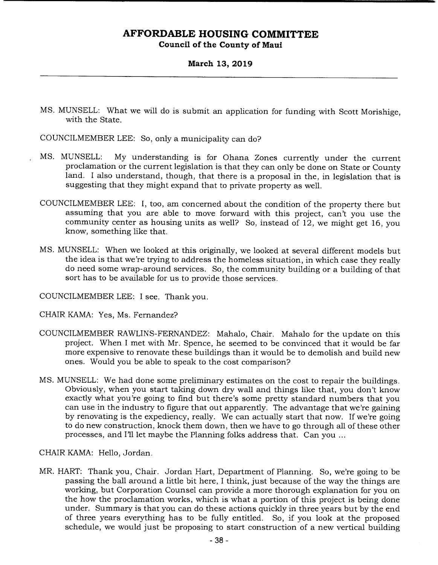### **March 13, 2019**

MS. MUNSELL: What we will do is submit an application for funding with Scott Morishige, with the State.

COUNCILMEMBER LEE: So, only a municipality can do?

- MS. MUNSELL: My understanding is for Ohana Zones currently under the current proclamation or the current legislation is that they can only be done on State or County land. I also understand, though, that there is a proposal in the, in legislation that is suggesting that they might expand that to private property as well.
- COUNCILMEMBER LEE: I, too, am concerned about the condition of the property there but assuming that you are able to move forward with this project, can't you use the community center as housing units as well? So, instead of 12, we might get 16, you know, something like that.
- MS. MUNSELL: When we looked at this originally, we looked at several different models but the idea is that we're trying to address the homeless situation, in which case they really do need some wrap-around services. So, the community building or a building of that sort has to be available for us to provide those services.

COUNCILMEMBER LEE: I see. Thank you.

- CHAIR KAMA: Yes, Ms. Fernandez?
- COUNCILMEMBER RAWLINS-FERNANDEZ: Mahalo, Chair. Mahalo for the update on this project. When I met with Mr. Spence, he seemed to be convinced that it would be far more expensive to renovate these buildings than it would be to demolish and build new ones. Would you be able to speak to the cost comparison?
- MS. MUNSELL: We had done some preliminary estimates on the cost to repair the buildings. Obviously, when you start taking down dry wall and things like that, you don't know exactly what you're going to find but there's some pretty standard numbers that you can use in the industry to figure that out apparently. The advantage that we're gaining by renovating is the expediency, really. We can actually start that now. If we're going to do new construction, knock them down, then we have to go through all of these other processes, and I'll let maybe the Planning folks address that. Can you

CHAIR KAMA: Hello, Jordan.

MR. HART: Thank you, Chair. Jordan Hart, Department of Planning. So, we're going to be passing the ball around a little bit here, I think, just because of the way the things are working, but Corporation Counsel can provide a more thorough explanation for you on the how the proclamation works, which is what a portion of this project is being done under. Summary is that you can do these actions quickly in three years but by the end of three years everything has to be fully entitled. So, if you look at the proposed schedule, we would just be proposing to start construction of a new vertical building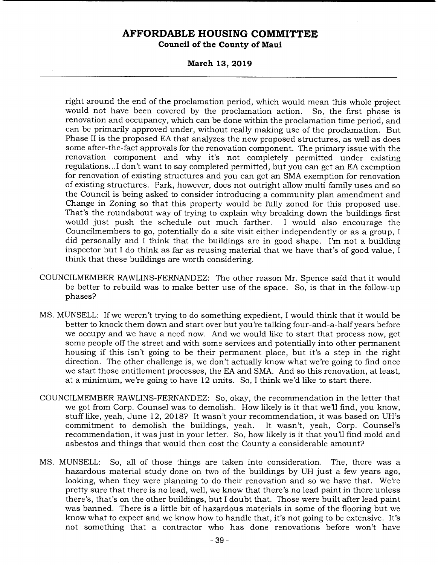**March 13, 2019** 

right around the end of the proclamation period, which would mean this whole project would not have been covered by the proclamation action. So, the first phase is renovation and occupancy, which can be done within the proclamation time period, and can be primarily approved under, without really making use of the proclamation. But Phase II is the proposed EA that analyzes the new proposed structures, as well as does some after-the-fact approvals for the renovation component. The primary issue with the renovation component and why it's not completely permitted under existing regulations.. .1 don't want to say completed permitted, but you can get an EA exemption for renovation of existing structures and you can get an SMA exemption for renovation of existing structures. Park, however, does not outright allow multi-family uses and so the Council is being asked to consider introducing a community plan amendment and Change in Zoning so that this property would be fully zoned for this proposed use. That's the roundabout way of trying to explain why breaking down the buildings first would just push the schedule out much farther. I would also encourage the Councilmembers to go, potentially do a site visit either independently or as a group, I did personally and I think that the buildings are in good shape. I'm not a building inspector but I do think as far as reusing material that we have that's of good value, I think that these buildings are worth considering.

- COUNCILMEMBER RAWLINS-FERNANDEZ: The other reason Mr. Spence said that it would be better to rebuild was to make better use of the space. So, is that in the follow-up phases?
- MS. MUNSELL: If we weren't trying to do something expedient, I would think that it would be better to knock them down and start over but you're talking four-and-a-half years before we occupy and we have a need now. And we would like to start that process now, get some people off the street and with some services and potentially into other permanent housing if this isn't going to be their permanent place, but it's a step in the right direction. The other challenge is, we don't actually know what we're going to find once we start those entitlement processes, the EA and SMA. And so this renovation, at least, at a minimum, we're going to have 12 units. So, I think we'd like to start there.
- COUNCILMEMBER RAWLINS-FERNANDEZ: So, okay, the recommendation in the letter that we got from Corp. Counsel was to demolish. How likely is it that we'll find, you know, stuff like, yeah, June 12, 2018? It wasn't your recommendation, it was based on UH's commitment to demolish the buildings, yeah. recommendation, it was just in your letter. So, how likely is it that you'll find mold and asbestos and things that would then cost the County a considerable amount?
- MS. MUNSELL: So, all of those things are taken into consideration. The, there was a hazardous material study done on two of the buildings by UH just a few years ago, looking, when they were planning to do their renovation and so we have that. We're pretty sure that there is no lead, well, we know that there's no lead paint in there unless there's, that's on the other buildings, but I doubt that. Those were built after lead paint was banned. There is a little bit of hazardous materials in some of the flooring but we know what to expect and we know how to handle that, it's not going to be extensive. It's not something that a contractor who has done renovations before won't have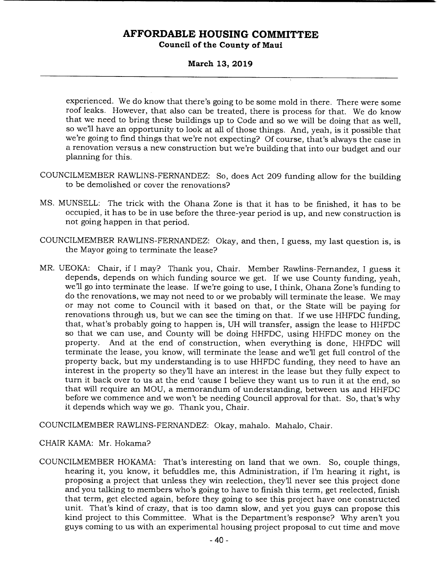# **AFFORDABLE HOUSING COMMITTEE**

**Council of the County of Maui** 

### **March 13, 2019**

experienced. We do know that there's going to be some mold in there. There were some roof leaks. However, that also can be treated, there is process for that. We do know that we need to bring these buildings up to Code and so we will be doing that as well, so we'll have an opportunity to look at all of those things. And, yeah, is it possible that we're going to find things that we're not expecting? Of course, that's always the case in a renovation versus a new construction but we're building that into our budget and our planning for this.

- COUNCILMEMBER RAWLINS-FERNANDEZ: So, does Act 209 funding allow for the building to be demolished or cover the renovations?
- MS. MUNSELL: The trick with the Ohana Zone is that it has to be finished, it has to be occupied, it has to be in use before the three-year period is up, and new construction is not going happen in that period.
- COUNCILMEMBER RAWLINS-FERNANDEZ: Okay, and then, I guess, my last question is, is the Mayor going to terminate the lease?
- MR. UEOKA: Chair, if I may? Thank you, Chair. Member Rawlins-Fernandez, I guess it depends, depends on which funding source we get. If we use County funding, yeah, well go into terminate the lease. If we're going to use, I think, Ohana Zone's funding to do the renovations, we may not need to or we probably will terminate the lease. We may or may not come to Council with it based on that, or the State will be paying for renovations through us, but we can see the timing on that. If we use HHFDC funding, that, what's probably going to happen is, UH will transfer, assign the lease to HHFDC so that we can use, and County will be doing HHFDC, using HHFDC money on the property. And at the end of construction, when everything is done, HHFDC will terminate the lease, you know, will terminate the lease and well get full control of the property back, but my understanding is to use HHFDC funding, they need to have an interest in the property so they'll have an interest in the lease but they fully expect to turn it back over to us at the end 'cause I believe they want us to run it at the end, so that will require an MOU, a memorandum of understanding, between us and HHFDC before we commence and we won't be needing Council approval for that. So, that's why it depends which way we go. Thank you, Chair.

COUNCILMEMBER RAWLINS-FERNANDEZ: Okay, mahalo. Mahalo, Chair.

### CHAIR KAMA: Mr. Hokama?

COUNCILMEMBER HOKAMA: That's interesting on land that we own. So, couple things, hearing it, you know, it befuddles me, this Administration, if I'm hearing it right, is proposing a project that unless they win reelection, they'll never see this project done and you talking to members who's going to have to finish this term, get reelected, finish that term, get elected again, before they going to see this project have one constructed unit. That's kind of crazy, that is too damn slow, and yet you guys can propose this kind project to this Committee. What is the Department's response? Why aren't you guys coming to us with an experimental housing project proposal to cut time and move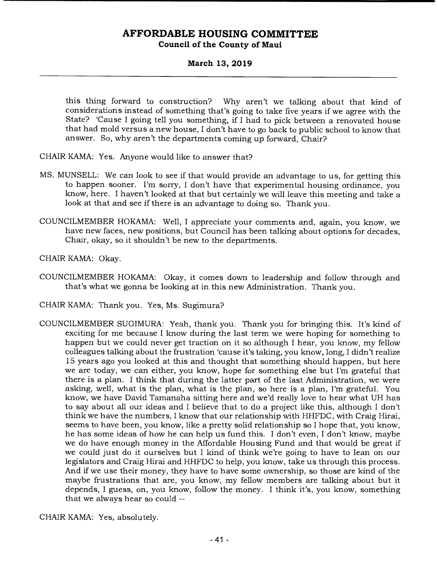### **March 13, 2019**

this thing forward to construction? Why aren't we talking about that kind of considerations instead of something that's going to take five years if we agree with the State? 'Cause I going tell you something, if I had to pick between a renovated house that had mold versus a new house, I don't have to go back to public school to know that answer. So, why aren't the departments coming up forward, Chair?

CHAIR KAMA: Yes. Anyone would like to answer that?

- MS. MUNSELL: We can look to see if that would provide an advantage to us, for getting this to happen sooner. I'm sorry, I don't have that experimental housing ordinance, you know, here. I haven't looked at that but certainly we will leave this meeting and take a look at that and see if there is an advantage to doing so. Thank you.
- COUNCILMEMBER HOKAMA: Well, I appreciate your comments and, again, you know, we have new faces, new positions, but Council has been talking about options for decades, Chair, okay, so it shouldn't be new to the departments.

CHAIR KAMA: Okay.

COUNCILMEMBER HOKAMA: Okay, it comes down to leadership and follow through and that's what we gonna be looking at in this new Administration. Thank you.

CHAIR KAMA: Thank you. Yes, Ms. Sugimura?

COUNCILMEMBER SUGIMURA: Yeah, thank you. Thank you for bringing this. It's kind of exciting for me because I know during the last term we were hoping for something to happen but we could never get traction on it so although I hear, you know, my fellow colleagues talking about the frustration 'cause it's taking, you know, long, I didn't realize 15 years ago you looked at this and thought that something should happen, but here we are today, we can either, you know, hope for something else but I'm grateful that there is a plan. I think that during the latter part of the last Administration, we were asking, well, what is the plan, what is the plan, so here is a plan, I'm grateful. You know, we have David Tamanaha sitting here and we'd really love to hear what UH has to say about all our ideas and I believe that to do a project like this, although I don't think we have the numbers, I know that our relationship with HHFDC, with Craig Hirai, seems to have been, you know, like a pretty solid relationship so I hope that, you know, he has some ideas of how he can help us fund this. I don't even, I don't know, maybe we do have enough money in the Affordable Housing Fund and that would be great if we could just do it ourselves but I kind of think we're going to have to lean on our legislators and Craig Hirai and HHFDC to help, you know, take us through this process. And if we use their money, they have to have some ownership, so those are kind of the maybe frustrations that are, you know, my fellow members are talking about but it depends, I guess, on, you know, follow the money. I think it's, you know, something that we always hear so could --

CHAIR KAMA: Yes, absolutely.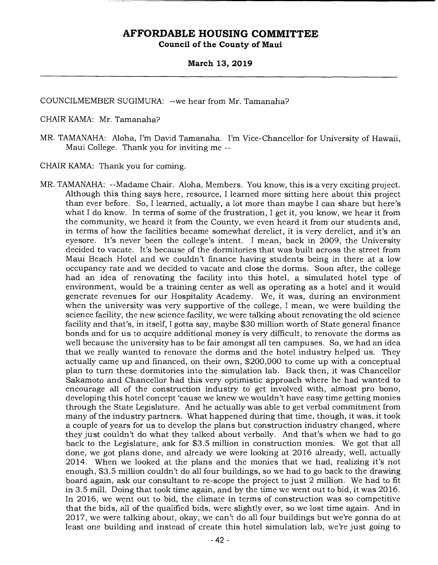### **March 13, 2019**

COUNCILMEMBER SUGIMURA: --we hear from Mr. Tamanaha?

CHAIR KAMA: Mr. Tamanaha?

MR. TAMANAHA: Aloha, I'm David Tamanaha. I'm Vice-Chancellor for University of Hawaii, Maui College. Thank you for inviting me --

CHAIR KAMA: Thank you for coming.

MR. TAMANAHA: --Madame Chair. Aloha, Members. You know, this is a very exciting project. Although this thing says here, resource, I learned more sitting here about this project than ever before. So, I learned, actually, a lot more than maybe I can share but here's what I do know. In terms of some of the frustration, I get it, you know, we hear it from the community, we heard it from the County, we even heard it from our students and, in terms of how the facilities became somewhat derelict, it is very derelict, and it's an eyesore. It's never been the college's intent. I mean, back in 2009, the University decided to vacate. It's because of the dormitories that was built across the street from Maui Beach Hotel and we couldn't finance having students being in there at a low occupancy rate and we decided to vacate and close the dorms. Soon after, the college had an idea of renovating the facility into this hotel, a simulated hotel type of environment, would be a training center as well as operating as a hotel and it would generate revenues for our Hospitality Academy. We, it was, during an environment when the university was very supportive of the college, I mean, we were building the science facility, the new science facility, we were talking about renovating the old science facility and that's, in itself, I gotta say, maybe \$30 million worth of State general finance bonds and for us to acquire additional money is very difficult, to renovate the dorms as well because the university has to be fair amongst all ten campuses. So, we had an idea that we really wanted to renovate the dorms and the hotel industry helped us. They actually came up and financed, on their own, \$200,000 to come up with a conceptual plan to turn these dormitories into the simulation lab. Back then, it was Chancellor Sakamoto and Chancellor had this very optimistic approach where he had wanted to encourage all of the construction industry to get involved with, almost pro bono, developing this hotel concept 'cause we knew we wouldn't have easy time getting monies through the State Legislature. And he actually was able to get verbal commitment from many of the industry partners. What happened during that time, though, it was, it took a couple of years for us to develop the plans but construction industry changed, where they just couldn't do what they talked about verbally. And that's when we had to go back to the Legislature, ask for \$3.5 million in construction monies. We got that all done, we got plans done, and already we were looking at 2016 already, well, actually 2014. When we looked at the plans and the monies that we had, realizing it's not enough, \$3.5 million couldn't do all four buildings, so we had to go back to the drawing board again, ask our consultant to re-scope the project to just 2 million. We had to fit in 3.5 mill. Doing that took time again, and by the time we went out to bid, it was 2016. In 2016, we went out to bid, the climate in terms of construction was so competitive that the bids, all of the qualified bids, were slightly over, so we lost time again. And in 2017, we were talking about, okay, we can't do all four buildings but we're gonna do at least one building and instead of create this hotel simulation lab, we're just going to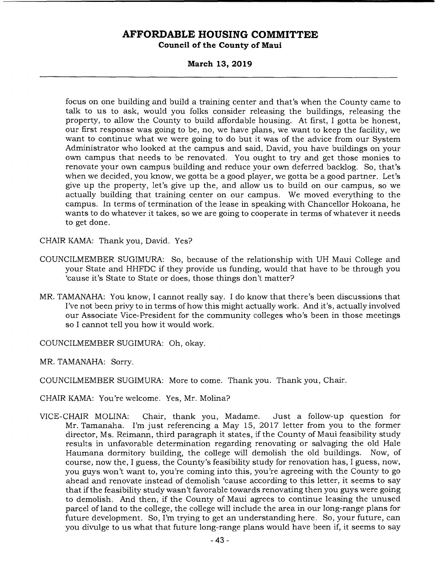**March 13, 2019** 

focus on one building and build a training center and that's when the County came to talk to us to ask, would you folks consider releasing the buildings, releasing the property, to allow the County to build affordable housing. At first, I gotta be honest, our first response was going to be, no, we have plans, we want to keep the facility, we want to continue what we were going to do but it was of the advice from our System Administrator who looked at the campus and said, David, you have buildings on your own campus that needs to be renovated. You ought to try and get those monies to renovate your own campus building and reduce your own deferred backlog. So, that's when we decided, you know, we gotta be a good player, we gotta be a good partner. Let's give up the property, let's give up the, and allow us to build on our campus, so we actually building that training center on our campus. We moved everything to the campus. In terms of termination of the lease in speaking with Chancellor Hokoana, he wants to do whatever it takes, so we are going to cooperate in terms of whatever it needs to get done.

CHAIR KAMA: Thank you, David. Yes?

- COUNCILMEMBER SUGIMURA: So, because of the relationship with UH Maui College and your State and HHFDC if they provide us funding, would that have to be through you 'cause it's State to State or does, those things don't matter?
- MR. TAMANAHA: You know, I cannot really say. I do know that there's been discussions that I've not been privy to in terms of how this might actually work. And it's, actually involved our Associate Vice-President for the community colleges who's been in those meetings so I cannot tell you how it would work.

COUNCILMEMBER SUGIMURA: Oh, okay.

MR. TAMANAHA: Sorry.

COUNCILMEMBER SUGIMURA: More to come. Thank you. Thank you, Chair.

CHAIR KAMA: You're welcome. Yes, Mr. Molina?

VICE-CHAIR MOLINA: Chair, thank you, Madame. Just a follow-up question for Mr. Tamanaha. I'm just referencing a May 15, 2017 letter from you to the former director, Ms. Reimann, third paragraph it states, if the County of Maui feasibility study results in unfavorable determination regarding renovating or salvaging the old Hale Haumana dormitory building, the college will demolish the old buildings. Now, of course, now the, I guess, the County's feasibility study for renovation has, I guess, now, you guys won't want to, you're coming into this, you're agreeing with the County to go ahead and renovate instead of demolish 'cause according to this letter, it seems to say that if the feasibility study wasn't favorable towards renovating then you guys were going to demolish. And then, if the County of Maui agrees to continue leasing the unused parcel of land to the college, the college will include the area in our long-range plans for future development. So, I'm trying to get an understanding here. So, your future, can you divulge to us what that future long-range plans would have been if, it seems to say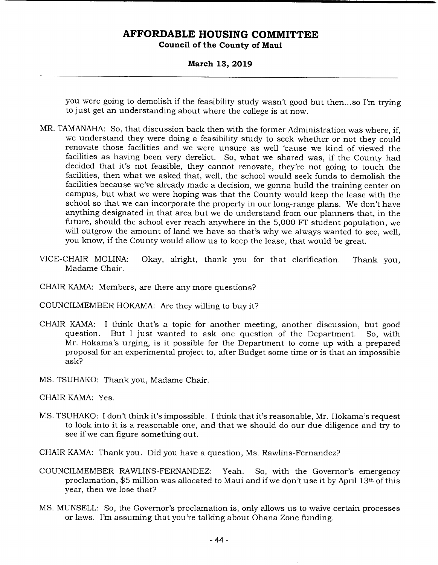**March 13, 2019** 

you were going to demolish if the feasibility study wasn't good but then... so I'm trying to just get an understanding about where the college is at now.

- MR. TAMANAHA: So, that discussion back then with the former Administration was where, if, we understand they were doing a feasibility study to seek whether or not they could renovate those facilities and we were unsure as well 'cause we kind of viewed the facilities as having been very derelict. So, what we shared was, if the County had decided that it's not feasible, they cannot renovate, they're not going to touch the facilities, then what we asked that, well, the school would seek funds to demolish the facilities because we've already made a decision, we gonna build the training center on campus, but what we were hoping was that the County would keep the lease with the school so that we can incorporate the property in our long-range plans. We don't have anything designated in that area but we do understand from our planners that, in the future, should the school ever reach anywhere in the 5,000 FT student population, we will outgrow the amount of land we have so that's why we always wanted to see, well, you know, if the County would allow us to keep the lease, that would be great.
- VICE-CHAIR MOLINA: Okay, alright, thank you for that clarification. Thank you, Madame Chair.
- CHAIR KAMA: Members, are there any more questions?

COUNCILMEMBER HOKAMA: Are they willing to buy it?

- CHAIR KAMA: I think that's a topic for another meeting, another discussion, but good question. But I just wanted to ask one question of the Department. So, with Mr. Hokama's urging, is it possible for the Department to come up with a prepared proposal for an experimental project to, after Budget some time or is that an impossible ask?
- MS. TSUHAKO: Thank you, Madame Chair.

CHAIR KAMA: Yes.

- MS. TSUHAKO: I don't think it's impossible. I think that it's reasonable, Mr. Hokama's request to look into it is a reasonable one, and that we should do our due diligence and try to see if we can figure something out.
- CHAIR KAMA: Thank you. Did you have a question, Ms. Rawlins-Fernandez?
- COUNCILMEMBER RAWLINS-FERNANDEZ: Yeah. So, with the Governor's emergency proclamation, \$5 million was allocated to Maui and if we don't use it by April 13th of this year, then we lose that?
- MS. MUNSELL: So, the Governor's proclamation is, only allows us to waive certain processes or laws. I'm assuming that you're talking about Ohana Zone funding.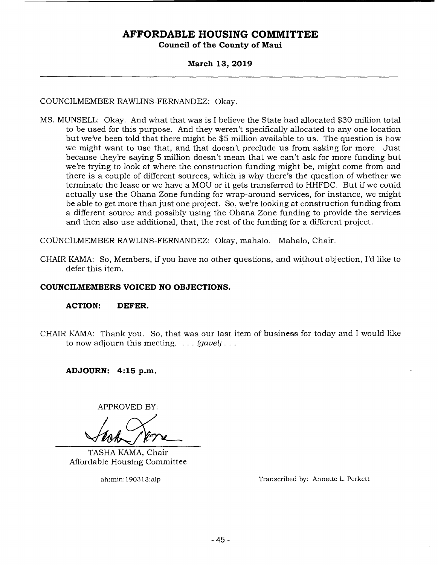### **March 13, 2019**

COUNCILMEMBER RAWLINS-FERNANDEZ: Okay.

MS. MUNSELL: Okay. And what that was is I believe the State had allocated \$30 million total to be used for this purpose. And they weren't specifically allocated to any one location but we've been told that there might be \$5 million available to us. The question is how we might want to use that, and that doesn't preclude us from asking for more. Just because they're saying 5 million doesn't mean that we can't ask for more funding but we're trying to look at where the construction funding might be, might come from and there is a couple of different sources, which is why there's the question of whether we terminate the lease or we have a MOU or it gets transferred to HHFDC. But if we could actually use the Ohana Zone funding for wrap-around services, for instance, we might be able to get more than just one project. So, we're looking at construction funding from a different source and possibly using the Ohana Zone funding to provide the services and then also use additional, that, the rest of the funding for a different project.

COUNCILMEMBER RAWLINS-FERNANDEZ: Okay, mahalo. Mahalo, Chair.

CHAIR KAMA: So, Members, if you have no other questions, and without objection, I'd like to defer this item.

### **COUNCILMEMBERS VOICED NO OBJECTIONS.**

**ACTION: DEFER.** 

CHAIR KAMA: Thank you. So, that was our last item of business for today and I would like to now adjourn this meeting. . . . *(gavel).* 

**ADJOURN: 4:15 p.m.** 

APPROVED BY:

TASHA KAMA, Chair Affordable Housing Committee

ah:min:190313:alp Transcribed by: Annette L. Perkett